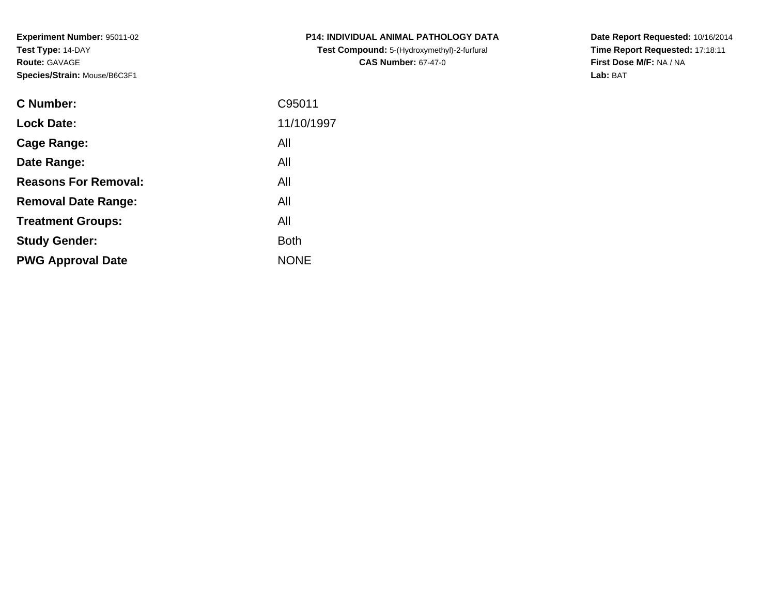**Experiment Number:** 95011-02**Test Type:** 14-DAY**Route:** GAVAGE**Species/Strain:** Mouse/B6C3F1

| <b>C Number:</b>            | C95011      |
|-----------------------------|-------------|
| <b>Lock Date:</b>           | 11/10/1997  |
| <b>Cage Range:</b>          | All         |
| Date Range:                 | All         |
| <b>Reasons For Removal:</b> | All         |
| <b>Removal Date Range:</b>  | All         |
| <b>Treatment Groups:</b>    | All         |
| <b>Study Gender:</b>        | <b>Both</b> |
| <b>PWG Approval Date</b>    | <b>NONE</b> |
|                             |             |

**P14: INDIVIDUAL ANIMAL PATHOLOGY DATATest Compound:** 5-(Hydroxymethyl)-2-furfural **CAS Number:** 67-47-0

**Date Report Requested:** 10/16/2014 **Time Report Requested:** 17:18:11**First Dose M/F:** NA / NA**Lab:** BAT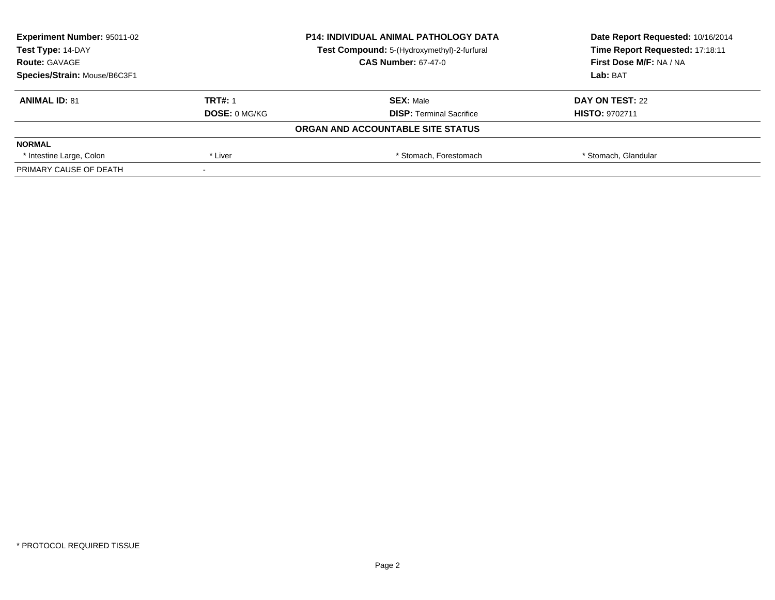| <b>Experiment Number: 95011-02</b><br>Test Type: 14-DAY |                      | <b>P14: INDIVIDUAL ANIMAL PATHOLOGY DATA</b> | Date Report Requested: 10/16/2014 |  |
|---------------------------------------------------------|----------------------|----------------------------------------------|-----------------------------------|--|
|                                                         |                      | Test Compound: 5-(Hydroxymethyl)-2-furfural  | Time Report Requested: 17:18:11   |  |
| <b>Route: GAVAGE</b>                                    |                      | <b>CAS Number: 67-47-0</b>                   | <b>First Dose M/F: NA / NA</b>    |  |
| Species/Strain: Mouse/B6C3F1                            |                      |                                              | Lab: BAT                          |  |
| <b>ANIMAL ID: 81</b>                                    | <b>TRT#: 1</b>       | <b>SEX: Male</b>                             | DAY ON TEST: 22                   |  |
|                                                         | <b>DOSE: 0 MG/KG</b> | <b>DISP:</b> Terminal Sacrifice              | <b>HISTO: 9702711</b>             |  |
|                                                         |                      | ORGAN AND ACCOUNTABLE SITE STATUS            |                                   |  |
| <b>NORMAL</b>                                           |                      |                                              |                                   |  |
| * Intestine Large, Colon                                | * Liver              | * Stomach, Forestomach                       | * Stomach, Glandular              |  |
| PRIMARY CAUSE OF DEATH                                  |                      |                                              |                                   |  |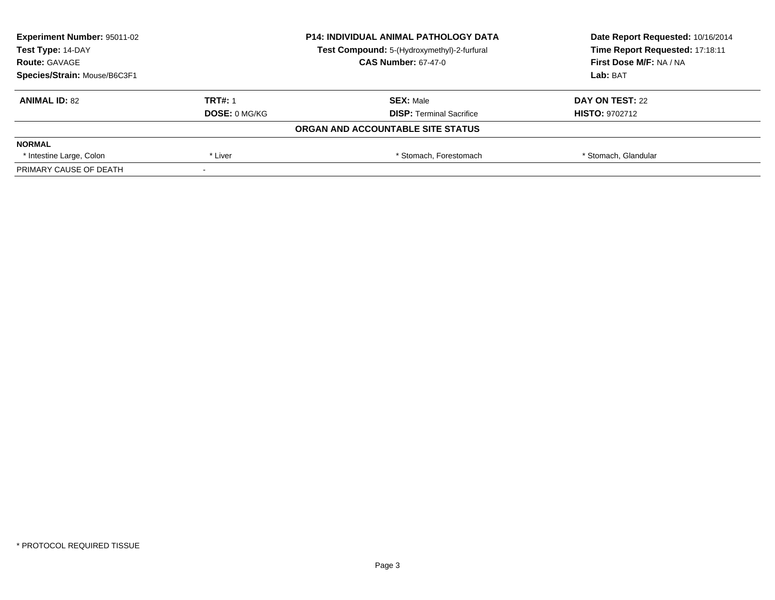| <b>Experiment Number: 95011-02</b><br>Test Type: 14-DAY |                      | <b>P14: INDIVIDUAL ANIMAL PATHOLOGY DATA</b> | Date Report Requested: 10/16/2014 |
|---------------------------------------------------------|----------------------|----------------------------------------------|-----------------------------------|
|                                                         |                      | Test Compound: 5-(Hydroxymethyl)-2-furfural  | Time Report Requested: 17:18:11   |
| <b>Route: GAVAGE</b>                                    |                      | <b>CAS Number: 67-47-0</b>                   | <b>First Dose M/F: NA / NA</b>    |
| Species/Strain: Mouse/B6C3F1                            |                      |                                              | Lab: BAT                          |
| <b>ANIMAL ID: 82</b>                                    | <b>TRT#: 1</b>       | <b>SEX: Male</b>                             | DAY ON TEST: 22                   |
|                                                         | <b>DOSE: 0 MG/KG</b> | <b>DISP: Terminal Sacrifice</b>              | <b>HISTO: 9702712</b>             |
|                                                         |                      | ORGAN AND ACCOUNTABLE SITE STATUS            |                                   |
| <b>NORMAL</b>                                           |                      |                                              |                                   |
| * Intestine Large, Colon                                | * Liver              | * Stomach. Forestomach                       | * Stomach, Glandular              |
| PRIMARY CAUSE OF DEATH                                  |                      |                                              |                                   |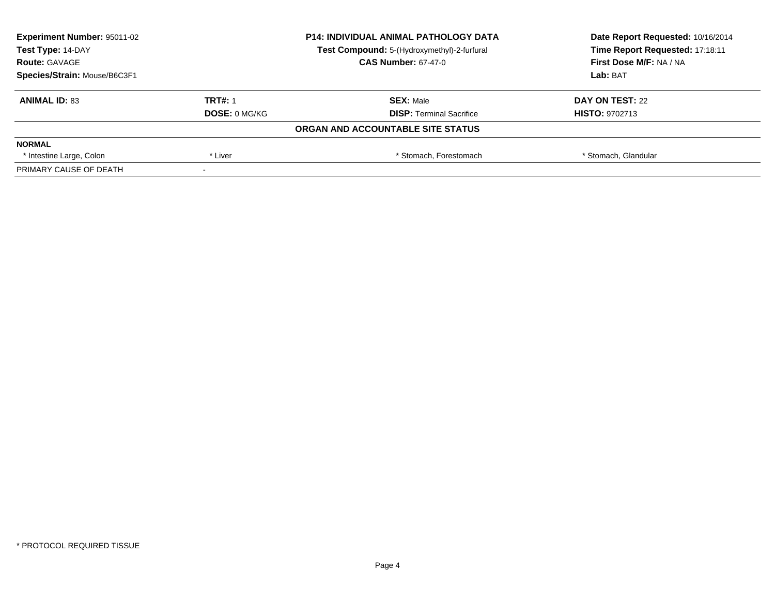| <b>Experiment Number: 95011-02</b><br>Test Type: 14-DAY |                      | <b>P14: INDIVIDUAL ANIMAL PATHOLOGY DATA</b> | Date Report Requested: 10/16/2014<br>Time Report Requested: 17:18:11 |  |
|---------------------------------------------------------|----------------------|----------------------------------------------|----------------------------------------------------------------------|--|
|                                                         |                      | Test Compound: 5-(Hydroxymethyl)-2-furfural  |                                                                      |  |
| <b>Route: GAVAGE</b>                                    |                      | <b>CAS Number: 67-47-0</b>                   | <b>First Dose M/F: NA / NA</b>                                       |  |
| Species/Strain: Mouse/B6C3F1                            |                      |                                              | Lab: BAT                                                             |  |
| <b>ANIMAL ID: 83</b>                                    | <b>TRT#: 1</b>       | <b>SEX: Male</b>                             | DAY ON TEST: 22                                                      |  |
|                                                         | <b>DOSE: 0 MG/KG</b> | <b>DISP:</b> Terminal Sacrifice              | <b>HISTO: 9702713</b>                                                |  |
|                                                         |                      | ORGAN AND ACCOUNTABLE SITE STATUS            |                                                                      |  |
| <b>NORMAL</b>                                           |                      |                                              |                                                                      |  |
| * Intestine Large, Colon                                | * Liver              | * Stomach, Forestomach                       | * Stomach, Glandular                                                 |  |
| PRIMARY CAUSE OF DEATH                                  |                      |                                              |                                                                      |  |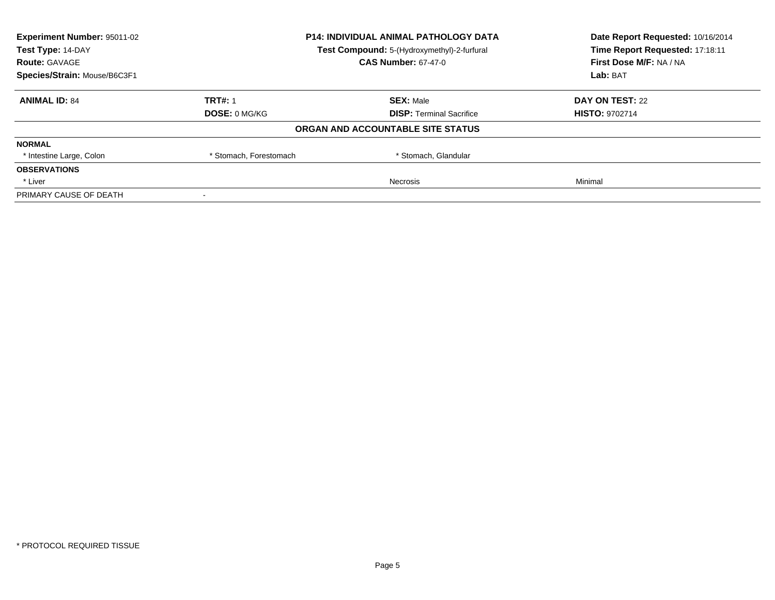| <b>Experiment Number: 95011-02</b>                               |                        | <b>P14: INDIVIDUAL ANIMAL PATHOLOGY DATA</b> | Date Report Requested: 10/16/2014 |
|------------------------------------------------------------------|------------------------|----------------------------------------------|-----------------------------------|
| Test Type: 14-DAY<br>Test Compound: 5-(Hydroxymethyl)-2-furfural |                        | Time Report Requested: 17:18:11              |                                   |
| <b>Route: GAVAGE</b>                                             |                        | <b>CAS Number: 67-47-0</b>                   | First Dose M/F: NA / NA           |
| Species/Strain: Mouse/B6C3F1                                     |                        |                                              | <b>Lab: BAT</b>                   |
| <b>ANIMAL ID: 84</b>                                             | <b>TRT#: 1</b>         | <b>SEX: Male</b>                             | DAY ON TEST: 22                   |
|                                                                  | DOSE: 0 MG/KG          | <b>DISP:</b> Terminal Sacrifice              | <b>HISTO: 9702714</b>             |
|                                                                  |                        | ORGAN AND ACCOUNTABLE SITE STATUS            |                                   |
| <b>NORMAL</b>                                                    |                        |                                              |                                   |
| * Intestine Large, Colon                                         | * Stomach, Forestomach | * Stomach, Glandular                         |                                   |
| <b>OBSERVATIONS</b>                                              |                        |                                              |                                   |
| * Liver                                                          |                        | Necrosis                                     | Minimal                           |
| PRIMARY CAUSE OF DEATH                                           |                        |                                              |                                   |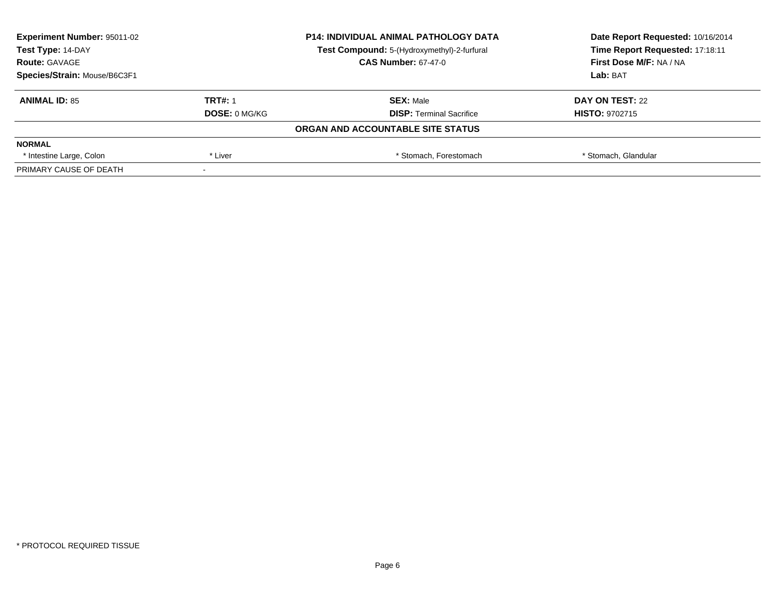| <b>Experiment Number: 95011-02</b><br>Test Type: 14-DAY |                      | <b>P14: INDIVIDUAL ANIMAL PATHOLOGY DATA</b> | Date Report Requested: 10/16/2014 |
|---------------------------------------------------------|----------------------|----------------------------------------------|-----------------------------------|
|                                                         |                      | Test Compound: 5-(Hydroxymethyl)-2-furfural  | Time Report Requested: 17:18:11   |
| <b>Route: GAVAGE</b>                                    |                      | <b>CAS Number: 67-47-0</b>                   | <b>First Dose M/F: NA / NA</b>    |
| Species/Strain: Mouse/B6C3F1                            |                      |                                              | Lab: BAT                          |
| <b>ANIMAL ID: 85</b>                                    | <b>TRT#: 1</b>       | <b>SEX: Male</b>                             | DAY ON TEST: 22                   |
|                                                         | <b>DOSE: 0 MG/KG</b> | <b>DISP: Terminal Sacrifice</b>              | <b>HISTO: 9702715</b>             |
|                                                         |                      | ORGAN AND ACCOUNTABLE SITE STATUS            |                                   |
| <b>NORMAL</b>                                           |                      |                                              |                                   |
| * Intestine Large, Colon                                | * Liver              | * Stomach. Forestomach                       | * Stomach, Glandular              |
| PRIMARY CAUSE OF DEATH                                  |                      |                                              |                                   |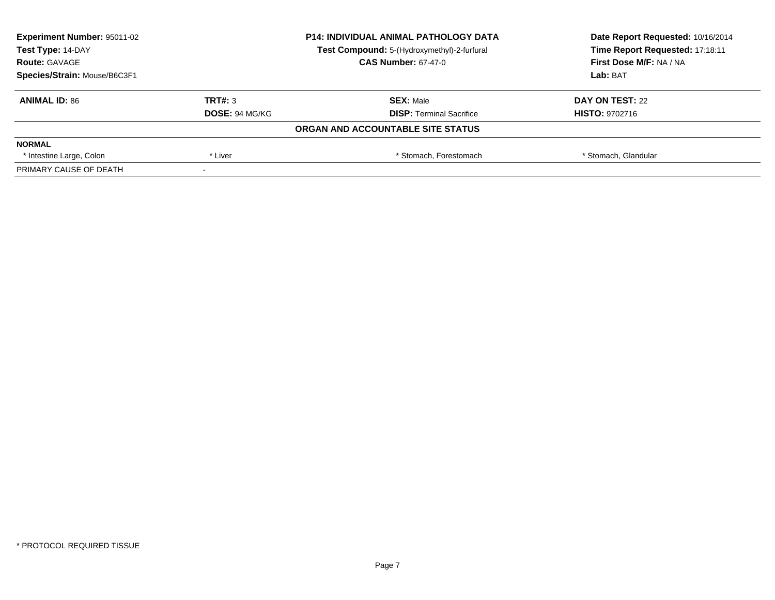| <b>Experiment Number: 95011-02</b><br>Test Type: 14-DAY |                       | <b>P14: INDIVIDUAL ANIMAL PATHOLOGY DATA</b> | Date Report Requested: 10/16/2014 |  |
|---------------------------------------------------------|-----------------------|----------------------------------------------|-----------------------------------|--|
|                                                         |                       | Test Compound: 5-(Hydroxymethyl)-2-furfural  | Time Report Requested: 17:18:11   |  |
| <b>Route: GAVAGE</b>                                    |                       | <b>CAS Number: 67-47-0</b>                   | <b>First Dose M/F: NA / NA</b>    |  |
| Species/Strain: Mouse/B6C3F1                            |                       |                                              | Lab: BAT                          |  |
| <b>ANIMAL ID: 86</b>                                    | TRT#: 3               | <b>SEX: Male</b>                             | DAY ON TEST: 22                   |  |
|                                                         | <b>DOSE: 94 MG/KG</b> | <b>DISP: Terminal Sacrifice</b>              | <b>HISTO: 9702716</b>             |  |
|                                                         |                       | ORGAN AND ACCOUNTABLE SITE STATUS            |                                   |  |
| <b>NORMAL</b>                                           |                       |                                              |                                   |  |
| * Intestine Large, Colon                                | * Liver               | * Stomach. Forestomach                       | * Stomach, Glandular              |  |
| PRIMARY CAUSE OF DEATH                                  |                       |                                              |                                   |  |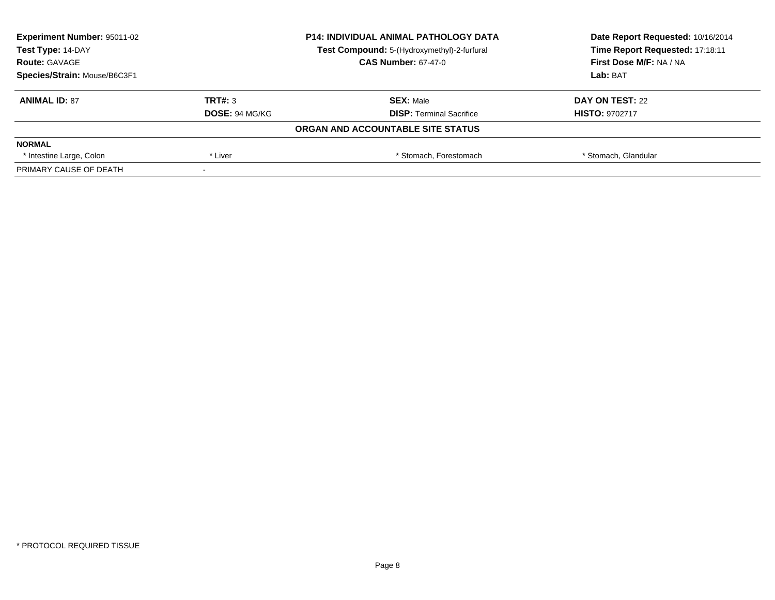| <b>Experiment Number: 95011-02</b><br>Test Type: 14-DAY |                       | <b>P14: INDIVIDUAL ANIMAL PATHOLOGY DATA</b> | Date Report Requested: 10/16/2014<br>Time Report Requested: 17:18:11 |  |
|---------------------------------------------------------|-----------------------|----------------------------------------------|----------------------------------------------------------------------|--|
|                                                         |                       | Test Compound: 5-(Hydroxymethyl)-2-furfural  |                                                                      |  |
| <b>Route: GAVAGE</b>                                    |                       | <b>CAS Number: 67-47-0</b>                   | <b>First Dose M/F: NA / NA</b>                                       |  |
| Species/Strain: Mouse/B6C3F1                            |                       |                                              | Lab: BAT                                                             |  |
| <b>ANIMAL ID: 87</b>                                    | TRT#: 3               | <b>SEX: Male</b>                             | DAY ON TEST: 22                                                      |  |
|                                                         | <b>DOSE: 94 MG/KG</b> | <b>DISP:</b> Terminal Sacrifice              | <b>HISTO: 9702717</b>                                                |  |
|                                                         |                       | ORGAN AND ACCOUNTABLE SITE STATUS            |                                                                      |  |
| <b>NORMAL</b>                                           |                       |                                              |                                                                      |  |
| * Intestine Large, Colon                                | * Liver               | * Stomach, Forestomach                       | * Stomach, Glandular                                                 |  |
| PRIMARY CAUSE OF DEATH                                  |                       |                                              |                                                                      |  |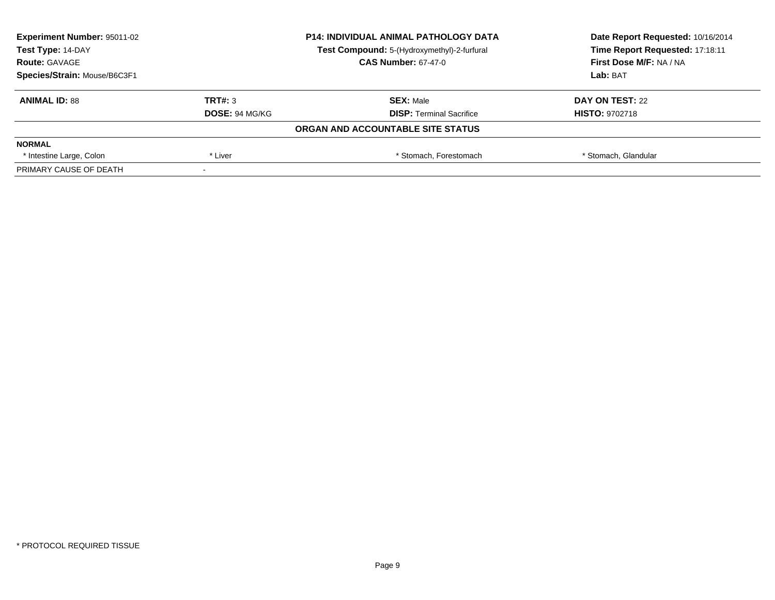| <b>Experiment Number: 95011-02</b><br>Test Type: 14-DAY |                       | <b>P14: INDIVIDUAL ANIMAL PATHOLOGY DATA</b> | Date Report Requested: 10/16/2014 |  |
|---------------------------------------------------------|-----------------------|----------------------------------------------|-----------------------------------|--|
|                                                         |                       | Test Compound: 5-(Hydroxymethyl)-2-furfural  | Time Report Requested: 17:18:11   |  |
| <b>Route: GAVAGE</b>                                    |                       | <b>CAS Number: 67-47-0</b>                   | <b>First Dose M/F: NA / NA</b>    |  |
| Species/Strain: Mouse/B6C3F1                            |                       |                                              | Lab: BAT                          |  |
| <b>ANIMAL ID: 88</b>                                    | TRT#: 3               | <b>SEX: Male</b>                             | DAY ON TEST: 22                   |  |
|                                                         | <b>DOSE: 94 MG/KG</b> | <b>DISP: Terminal Sacrifice</b>              | <b>HISTO: 9702718</b>             |  |
|                                                         |                       | ORGAN AND ACCOUNTABLE SITE STATUS            |                                   |  |
| <b>NORMAL</b>                                           |                       |                                              |                                   |  |
| * Intestine Large, Colon                                | * Liver               | * Stomach. Forestomach                       | * Stomach, Glandular              |  |
| PRIMARY CAUSE OF DEATH                                  |                       |                                              |                                   |  |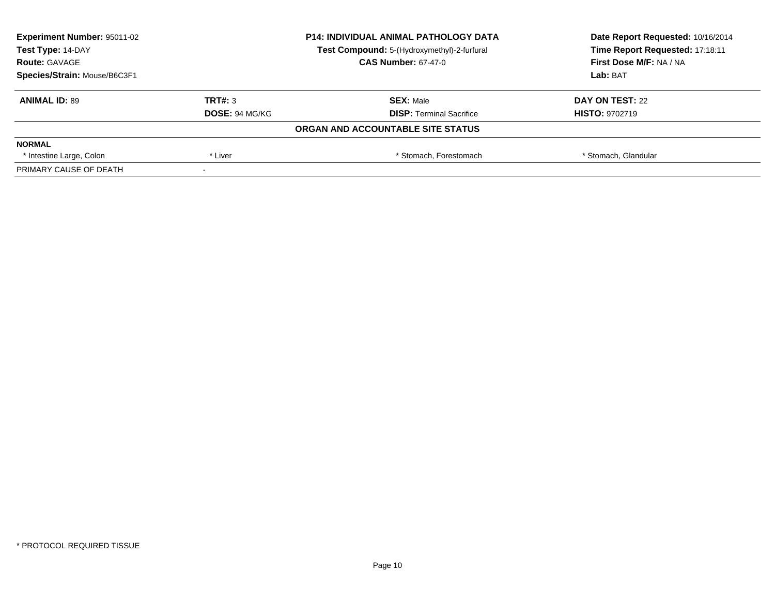| <b>Experiment Number: 95011-02</b><br>Test Type: 14-DAY |                       | <b>P14: INDIVIDUAL ANIMAL PATHOLOGY DATA</b> | Date Report Requested: 10/16/2014 |  |
|---------------------------------------------------------|-----------------------|----------------------------------------------|-----------------------------------|--|
|                                                         |                       | Test Compound: 5-(Hydroxymethyl)-2-furfural  | Time Report Requested: 17:18:11   |  |
| <b>Route: GAVAGE</b>                                    |                       | <b>CAS Number: 67-47-0</b>                   | <b>First Dose M/F: NA / NA</b>    |  |
| Species/Strain: Mouse/B6C3F1                            |                       |                                              | Lab: BAT                          |  |
| <b>ANIMAL ID: 89</b>                                    | TRT#: 3               | <b>SEX: Male</b>                             | DAY ON TEST: 22                   |  |
|                                                         | <b>DOSE: 94 MG/KG</b> | <b>DISP:</b> Terminal Sacrifice              | <b>HISTO: 9702719</b>             |  |
|                                                         |                       | ORGAN AND ACCOUNTABLE SITE STATUS            |                                   |  |
| <b>NORMAL</b>                                           |                       |                                              |                                   |  |
| * Intestine Large, Colon                                | * Liver               | * Stomach, Forestomach                       | * Stomach, Glandular              |  |
| PRIMARY CAUSE OF DEATH                                  |                       |                                              |                                   |  |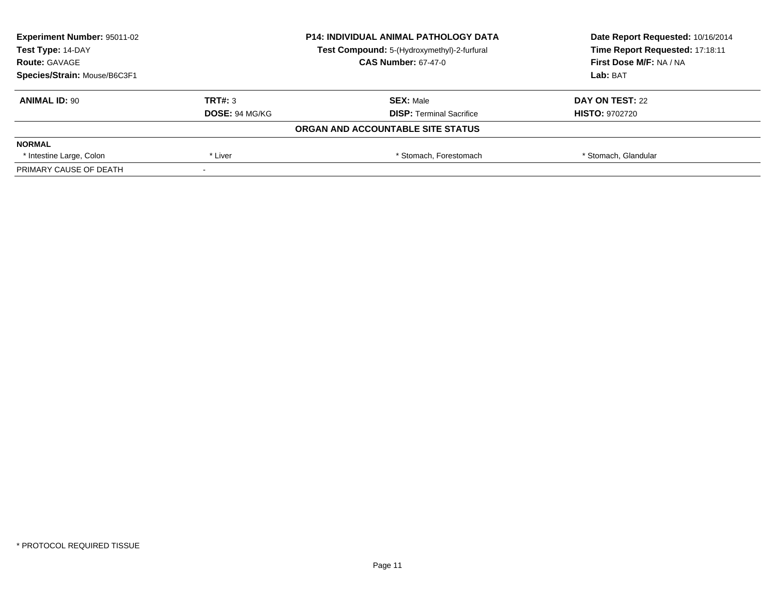| <b>Experiment Number: 95011-02</b><br>Test Type: 14-DAY |                       | <b>P14: INDIVIDUAL ANIMAL PATHOLOGY DATA</b> | Date Report Requested: 10/16/2014<br>Time Report Requested: 17:18:11 |  |
|---------------------------------------------------------|-----------------------|----------------------------------------------|----------------------------------------------------------------------|--|
|                                                         |                       | Test Compound: 5-(Hydroxymethyl)-2-furfural  |                                                                      |  |
| <b>Route: GAVAGE</b>                                    |                       | <b>CAS Number: 67-47-0</b>                   | <b>First Dose M/F: NA / NA</b>                                       |  |
| Species/Strain: Mouse/B6C3F1                            |                       |                                              | Lab: BAT                                                             |  |
| <b>ANIMAL ID: 90</b>                                    | TRT#: 3               | <b>SEX: Male</b>                             | DAY ON TEST: 22                                                      |  |
|                                                         | <b>DOSE: 94 MG/KG</b> | <b>DISP:</b> Terminal Sacrifice              | <b>HISTO: 9702720</b>                                                |  |
|                                                         |                       | ORGAN AND ACCOUNTABLE SITE STATUS            |                                                                      |  |
| <b>NORMAL</b>                                           |                       |                                              |                                                                      |  |
| * Intestine Large, Colon                                | * Liver               | * Stomach, Forestomach                       | * Stomach, Glandular                                                 |  |
| PRIMARY CAUSE OF DEATH                                  |                       |                                              |                                                                      |  |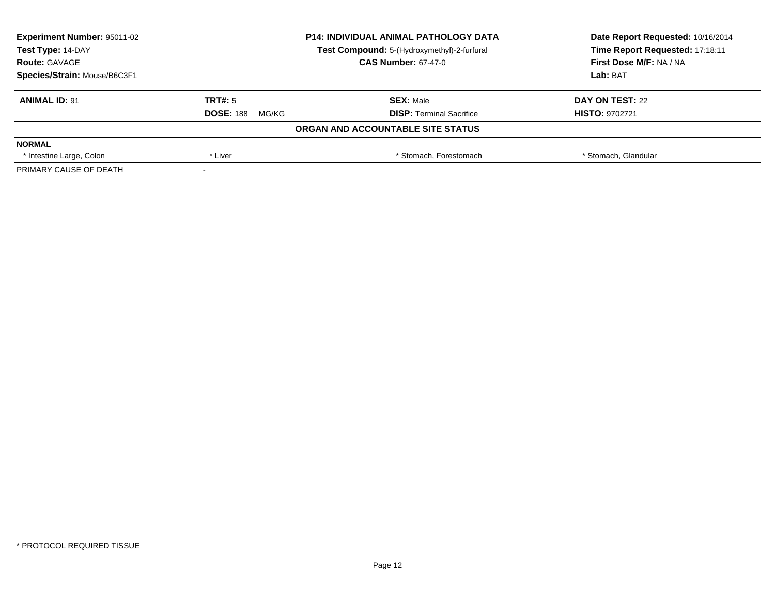| <b>Experiment Number: 95011-02</b> | <b>P14: INDIVIDUAL ANIMAL PATHOLOGY DATA</b><br>Test Compound: 5-(Hydroxymethyl)-2-furfural |                                   | Date Report Requested: 10/16/2014 |  |
|------------------------------------|---------------------------------------------------------------------------------------------|-----------------------------------|-----------------------------------|--|
| Test Type: 14-DAY                  |                                                                                             |                                   | Time Report Requested: 17:18:11   |  |
| <b>Route: GAVAGE</b>               |                                                                                             | <b>CAS Number: 67-47-0</b>        | <b>First Dose M/F: NA / NA</b>    |  |
| Species/Strain: Mouse/B6C3F1       |                                                                                             |                                   | Lab: BAT                          |  |
| <b>ANIMAL ID: 91</b>               | TRT#: 5                                                                                     | <b>SEX: Male</b>                  | DAY ON TEST: 22                   |  |
|                                    | <b>DOSE: 188</b><br>MG/KG                                                                   | <b>DISP:</b> Terminal Sacrifice   | <b>HISTO: 9702721</b>             |  |
|                                    |                                                                                             | ORGAN AND ACCOUNTABLE SITE STATUS |                                   |  |
| <b>NORMAL</b>                      |                                                                                             |                                   |                                   |  |
| * Intestine Large, Colon           | * Liver                                                                                     | * Stomach, Forestomach            | * Stomach, Glandular              |  |
| PRIMARY CAUSE OF DEATH             |                                                                                             |                                   |                                   |  |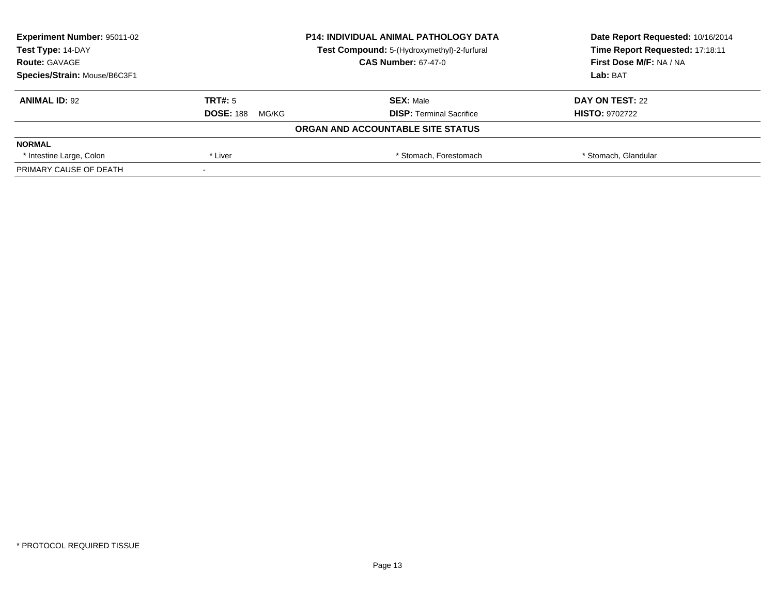| <b>Experiment Number: 95011-02</b> | <b>P14: INDIVIDUAL ANIMAL PATHOLOGY DATA</b> |                                             | Date Report Requested: 10/16/2014 |
|------------------------------------|----------------------------------------------|---------------------------------------------|-----------------------------------|
| Test Type: 14-DAY                  |                                              | Test Compound: 5-(Hydroxymethyl)-2-furfural | Time Report Requested: 17:18:11   |
| <b>Route: GAVAGE</b>               |                                              | <b>CAS Number: 67-47-0</b>                  | <b>First Dose M/F: NA / NA</b>    |
| Species/Strain: Mouse/B6C3F1       |                                              | Lab: BAT                                    |                                   |
| <b>ANIMAL ID: 92</b>               | TRT#: 5                                      | <b>SEX: Male</b>                            | DAY ON TEST: 22                   |
|                                    | <b>DOSE: 188</b><br>MG/KG                    | <b>DISP:</b> Terminal Sacrifice             | <b>HISTO: 9702722</b>             |
|                                    |                                              | ORGAN AND ACCOUNTABLE SITE STATUS           |                                   |
| <b>NORMAL</b>                      |                                              |                                             |                                   |
| * Intestine Large, Colon           | * Liver                                      | * Stomach, Forestomach                      | * Stomach, Glandular              |
| PRIMARY CAUSE OF DEATH             |                                              |                                             |                                   |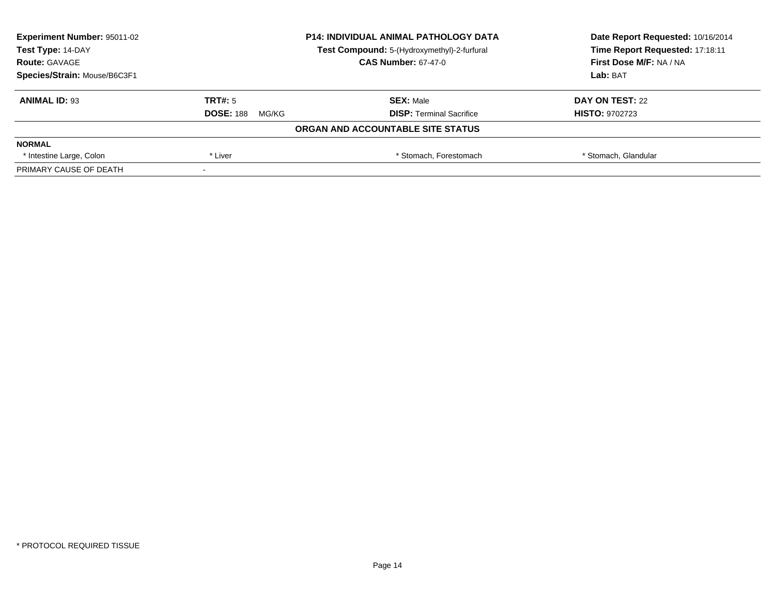| <b>Experiment Number: 95011-02</b> | <b>P14: INDIVIDUAL ANIMAL PATHOLOGY DATA</b><br>Test Compound: 5-(Hydroxymethyl)-2-furfural |                                   | Date Report Requested: 10/16/2014 |
|------------------------------------|---------------------------------------------------------------------------------------------|-----------------------------------|-----------------------------------|
| Test Type: 14-DAY                  |                                                                                             |                                   | Time Report Requested: 17:18:11   |
| <b>Route: GAVAGE</b>               |                                                                                             | <b>CAS Number: 67-47-0</b>        | <b>First Dose M/F: NA / NA</b>    |
| Species/Strain: Mouse/B6C3F1       |                                                                                             | Lab: BAT                          |                                   |
| <b>ANIMAL ID: 93</b>               | TRT#: 5                                                                                     | <b>SEX: Male</b>                  | DAY ON TEST: 22                   |
|                                    | <b>DOSE: 188</b><br>MG/KG                                                                   | <b>DISP:</b> Terminal Sacrifice   | <b>HISTO: 9702723</b>             |
|                                    |                                                                                             | ORGAN AND ACCOUNTABLE SITE STATUS |                                   |
| <b>NORMAL</b>                      |                                                                                             |                                   |                                   |
| * Intestine Large, Colon           | * Liver                                                                                     | * Stomach, Forestomach            | * Stomach, Glandular              |
| PRIMARY CAUSE OF DEATH             |                                                                                             |                                   |                                   |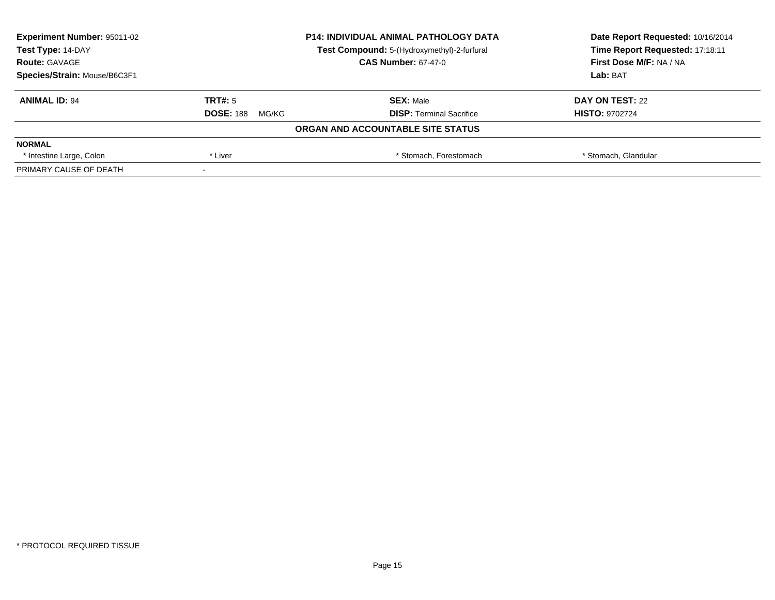| <b>Experiment Number: 95011-02</b> | <b>P14: INDIVIDUAL ANIMAL PATHOLOGY DATA</b><br>Test Compound: 5-(Hydroxymethyl)-2-furfural |                                   | Date Report Requested: 10/16/2014 |
|------------------------------------|---------------------------------------------------------------------------------------------|-----------------------------------|-----------------------------------|
| Test Type: 14-DAY                  |                                                                                             |                                   | Time Report Requested: 17:18:11   |
| <b>Route: GAVAGE</b>               |                                                                                             | <b>CAS Number: 67-47-0</b>        | <b>First Dose M/F: NA / NA</b>    |
| Species/Strain: Mouse/B6C3F1       |                                                                                             | Lab: BAT                          |                                   |
| <b>ANIMAL ID: 94</b>               | TRT#: 5                                                                                     | <b>SEX: Male</b>                  | DAY ON TEST: 22                   |
|                                    | <b>DOSE: 188</b><br>MG/KG                                                                   | <b>DISP:</b> Terminal Sacrifice   | <b>HISTO: 9702724</b>             |
|                                    |                                                                                             | ORGAN AND ACCOUNTABLE SITE STATUS |                                   |
| <b>NORMAL</b>                      |                                                                                             |                                   |                                   |
| * Intestine Large, Colon           | * Liver                                                                                     | * Stomach, Forestomach            | * Stomach, Glandular              |
| PRIMARY CAUSE OF DEATH             |                                                                                             |                                   |                                   |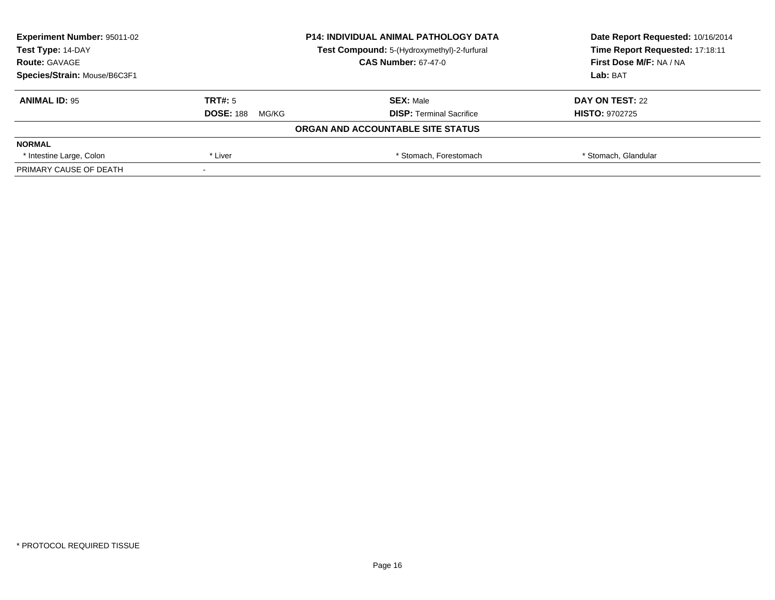| <b>Experiment Number: 95011-02</b> | <b>P14: INDIVIDUAL ANIMAL PATHOLOGY DATA</b><br>Test Compound: 5-(Hydroxymethyl)-2-furfural |                                   | Date Report Requested: 10/16/2014 |  |
|------------------------------------|---------------------------------------------------------------------------------------------|-----------------------------------|-----------------------------------|--|
| Test Type: 14-DAY                  |                                                                                             |                                   | Time Report Requested: 17:18:11   |  |
| <b>Route: GAVAGE</b>               |                                                                                             | <b>CAS Number: 67-47-0</b>        | <b>First Dose M/F: NA / NA</b>    |  |
| Species/Strain: Mouse/B6C3F1       |                                                                                             |                                   | Lab: BAT                          |  |
| <b>ANIMAL ID: 95</b>               | TRT#: 5                                                                                     | <b>SEX: Male</b>                  | DAY ON TEST: 22                   |  |
|                                    | <b>DOSE: 188</b><br>MG/KG                                                                   | <b>DISP:</b> Terminal Sacrifice   | <b>HISTO: 9702725</b>             |  |
|                                    |                                                                                             | ORGAN AND ACCOUNTABLE SITE STATUS |                                   |  |
| <b>NORMAL</b>                      |                                                                                             |                                   |                                   |  |
| * Intestine Large, Colon           | * Liver                                                                                     | * Stomach, Forestomach            | * Stomach, Glandular              |  |
| PRIMARY CAUSE OF DEATH             |                                                                                             |                                   |                                   |  |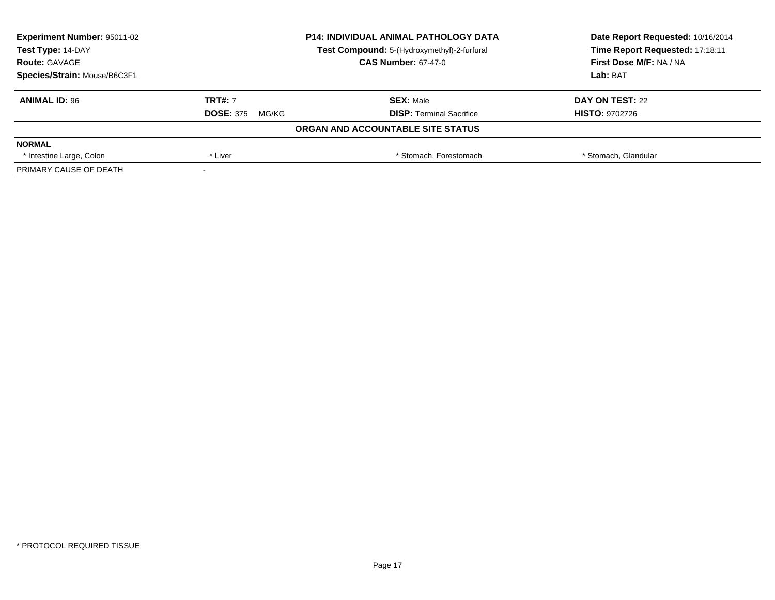| <b>Experiment Number: 95011-02</b> | <b>P14: INDIVIDUAL ANIMAL PATHOLOGY DATA</b><br>Test Compound: 5-(Hydroxymethyl)-2-furfural |                                   | Date Report Requested: 10/16/2014 |
|------------------------------------|---------------------------------------------------------------------------------------------|-----------------------------------|-----------------------------------|
| Test Type: 14-DAY                  |                                                                                             |                                   | Time Report Requested: 17:18:11   |
| <b>Route: GAVAGE</b>               |                                                                                             | <b>CAS Number: 67-47-0</b>        | <b>First Dose M/F: NA / NA</b>    |
| Species/Strain: Mouse/B6C3F1       |                                                                                             | Lab: BAT                          |                                   |
| <b>ANIMAL ID: 96</b>               | <b>TRT#: 7</b>                                                                              | <b>SEX: Male</b>                  | DAY ON TEST: 22                   |
|                                    | <b>DOSE: 375</b><br>MG/KG                                                                   | <b>DISP:</b> Terminal Sacrifice   | <b>HISTO: 9702726</b>             |
|                                    |                                                                                             | ORGAN AND ACCOUNTABLE SITE STATUS |                                   |
| <b>NORMAL</b>                      |                                                                                             |                                   |                                   |
| * Intestine Large, Colon           | * Liver                                                                                     | * Stomach, Forestomach            | * Stomach, Glandular              |
| PRIMARY CAUSE OF DEATH             |                                                                                             |                                   |                                   |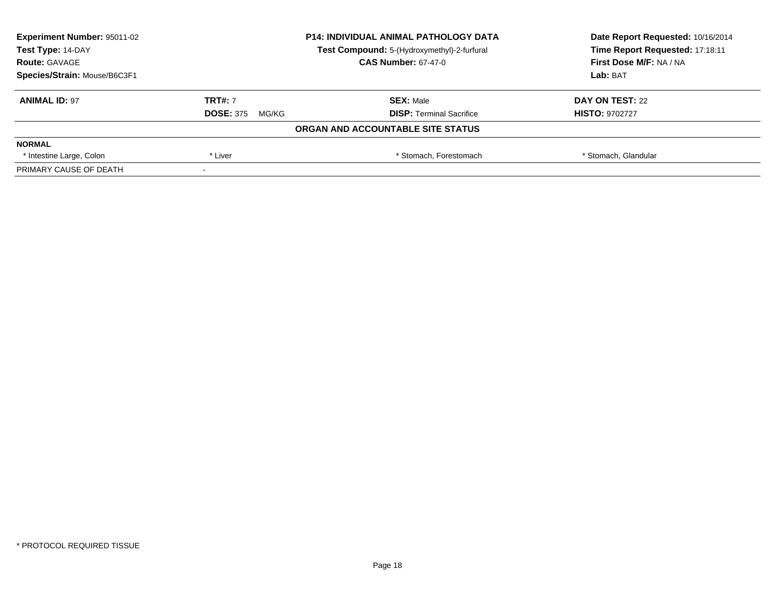| <b>Experiment Number: 95011-02</b> | <b>P14: INDIVIDUAL ANIMAL PATHOLOGY DATA</b><br>Test Compound: 5-(Hydroxymethyl)-2-furfural |                                   | Date Report Requested: 10/16/2014 |  |
|------------------------------------|---------------------------------------------------------------------------------------------|-----------------------------------|-----------------------------------|--|
| Test Type: 14-DAY                  |                                                                                             |                                   | Time Report Requested: 17:18:11   |  |
| <b>Route: GAVAGE</b>               |                                                                                             | <b>CAS Number: 67-47-0</b>        | <b>First Dose M/F: NA / NA</b>    |  |
| Species/Strain: Mouse/B6C3F1       |                                                                                             |                                   | Lab: BAT                          |  |
| <b>ANIMAL ID: 97</b>               | <b>TRT#: 7</b>                                                                              | <b>SEX: Male</b>                  | DAY ON TEST: 22                   |  |
|                                    | <b>DOSE: 375</b><br>MG/KG                                                                   | <b>DISP:</b> Terminal Sacrifice   | <b>HISTO: 9702727</b>             |  |
|                                    |                                                                                             | ORGAN AND ACCOUNTABLE SITE STATUS |                                   |  |
| <b>NORMAL</b>                      |                                                                                             |                                   |                                   |  |
| * Intestine Large, Colon           | * Liver                                                                                     | * Stomach, Forestomach            | * Stomach, Glandular              |  |
| PRIMARY CAUSE OF DEATH             |                                                                                             |                                   |                                   |  |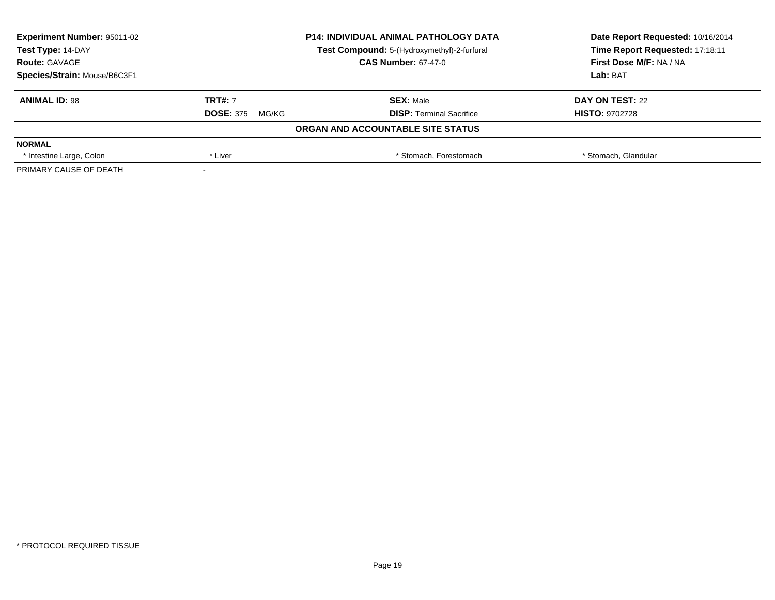| <b>Experiment Number: 95011-02</b> | <b>P14: INDIVIDUAL ANIMAL PATHOLOGY DATA</b><br>Test Compound: 5-(Hydroxymethyl)-2-furfural |                                   | Date Report Requested: 10/16/2014 |
|------------------------------------|---------------------------------------------------------------------------------------------|-----------------------------------|-----------------------------------|
| Test Type: 14-DAY                  |                                                                                             |                                   | Time Report Requested: 17:18:11   |
| <b>Route: GAVAGE</b>               |                                                                                             | <b>CAS Number: 67-47-0</b>        | <b>First Dose M/F: NA / NA</b>    |
| Species/Strain: Mouse/B6C3F1       |                                                                                             |                                   | Lab: BAT                          |
| <b>ANIMAL ID: 98</b>               | <b>TRT#: 7</b>                                                                              | <b>SEX: Male</b>                  | DAY ON TEST: 22                   |
|                                    | <b>DOSE: 375</b><br>MG/KG                                                                   | <b>DISP:</b> Terminal Sacrifice   | <b>HISTO: 9702728</b>             |
|                                    |                                                                                             | ORGAN AND ACCOUNTABLE SITE STATUS |                                   |
| <b>NORMAL</b>                      |                                                                                             |                                   |                                   |
| * Intestine Large, Colon           | * Liver                                                                                     | * Stomach, Forestomach            | * Stomach, Glandular              |
| PRIMARY CAUSE OF DEATH             |                                                                                             |                                   |                                   |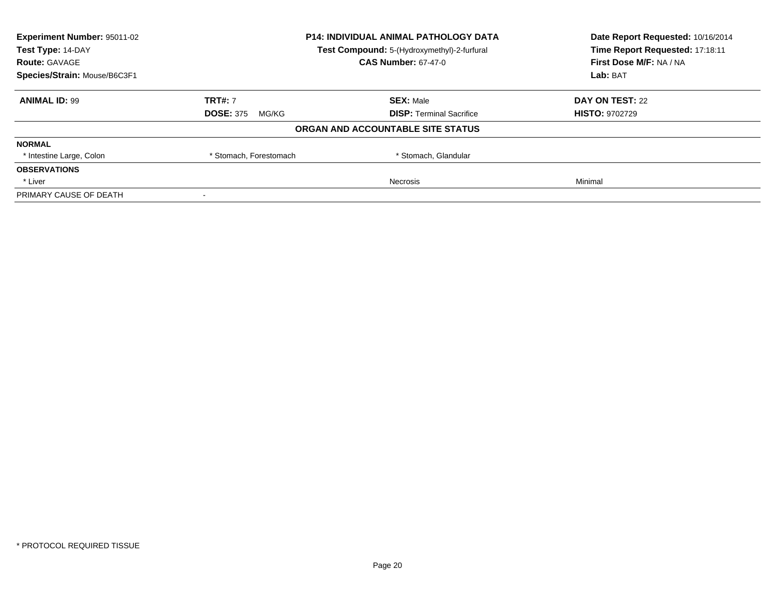| <b>Experiment Number: 95011-02</b>                               |                           | <b>P14: INDIVIDUAL ANIMAL PATHOLOGY DATA</b> | Date Report Requested: 10/16/2014 |
|------------------------------------------------------------------|---------------------------|----------------------------------------------|-----------------------------------|
| Test Type: 14-DAY<br>Test Compound: 5-(Hydroxymethyl)-2-furfural |                           | Time Report Requested: 17:18:11              |                                   |
| <b>Route: GAVAGE</b>                                             |                           | <b>CAS Number: 67-47-0</b>                   | First Dose M/F: NA / NA           |
| Species/Strain: Mouse/B6C3F1                                     |                           |                                              | Lab: BAT                          |
| <b>ANIMAL ID: 99</b>                                             | <b>TRT#: 7</b>            | <b>SEX: Male</b>                             | DAY ON TEST: 22                   |
|                                                                  | <b>DOSE: 375</b><br>MG/KG | <b>DISP:</b> Terminal Sacrifice              | <b>HISTO: 9702729</b>             |
|                                                                  |                           | ORGAN AND ACCOUNTABLE SITE STATUS            |                                   |
| <b>NORMAL</b>                                                    |                           |                                              |                                   |
| * Intestine Large, Colon                                         | * Stomach, Forestomach    | * Stomach, Glandular                         |                                   |
| <b>OBSERVATIONS</b>                                              |                           |                                              |                                   |
| * Liver                                                          |                           | Necrosis                                     | Minimal                           |
| PRIMARY CAUSE OF DEATH                                           |                           |                                              |                                   |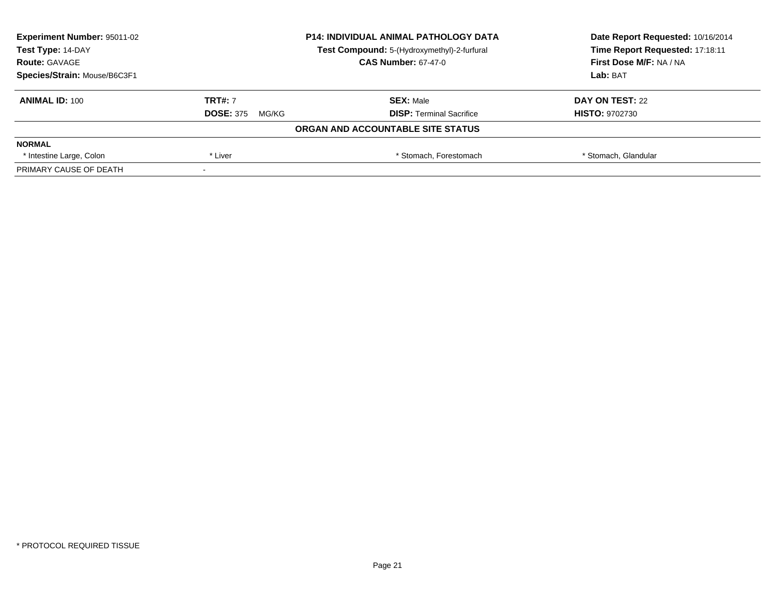| <b>Experiment Number: 95011-02</b> | <b>P14: INDIVIDUAL ANIMAL PATHOLOGY DATA</b><br>Test Compound: 5-(Hydroxymethyl)-2-furfural |                                   | Date Report Requested: 10/16/2014 |  |
|------------------------------------|---------------------------------------------------------------------------------------------|-----------------------------------|-----------------------------------|--|
| Test Type: 14-DAY                  |                                                                                             |                                   | Time Report Requested: 17:18:11   |  |
| <b>Route: GAVAGE</b>               |                                                                                             | <b>CAS Number: 67-47-0</b>        | <b>First Dose M/F: NA / NA</b>    |  |
| Species/Strain: Mouse/B6C3F1       |                                                                                             |                                   | Lab: BAT                          |  |
| <b>ANIMAL ID: 100</b>              | <b>TRT#: 7</b>                                                                              | <b>SEX: Male</b>                  | DAY ON TEST: 22                   |  |
|                                    | <b>DOSE: 375</b><br>MG/KG                                                                   | <b>DISP:</b> Terminal Sacrifice   | <b>HISTO: 9702730</b>             |  |
|                                    |                                                                                             | ORGAN AND ACCOUNTABLE SITE STATUS |                                   |  |
| <b>NORMAL</b>                      |                                                                                             |                                   |                                   |  |
| * Intestine Large, Colon           | * Liver                                                                                     | * Stomach, Forestomach            | * Stomach, Glandular              |  |
| PRIMARY CAUSE OF DEATH             |                                                                                             |                                   |                                   |  |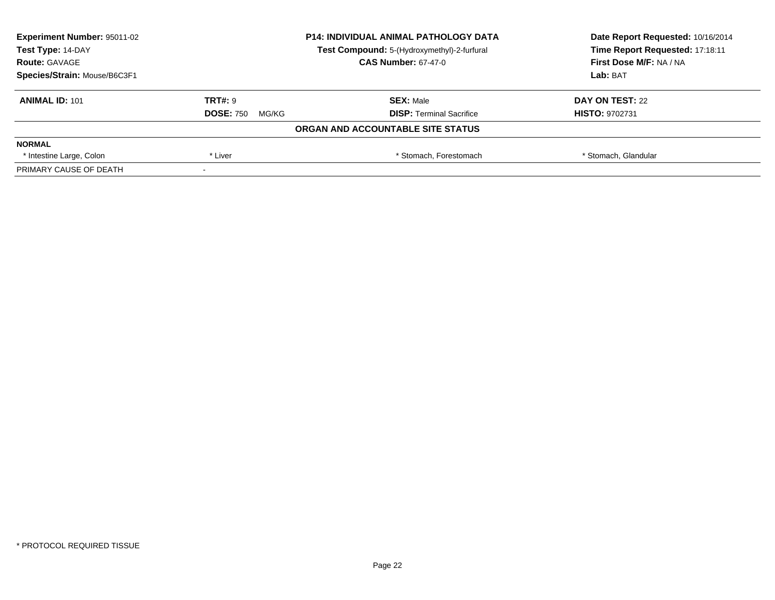| <b>Experiment Number: 95011-02</b> | <b>P14: INDIVIDUAL ANIMAL PATHOLOGY DATA</b><br>Test Compound: 5-(Hydroxymethyl)-2-furfural |                                   | Date Report Requested: 10/16/2014 |  |
|------------------------------------|---------------------------------------------------------------------------------------------|-----------------------------------|-----------------------------------|--|
| Test Type: 14-DAY                  |                                                                                             |                                   | Time Report Requested: 17:18:11   |  |
| <b>Route: GAVAGE</b>               |                                                                                             | <b>CAS Number: 67-47-0</b>        | <b>First Dose M/F: NA / NA</b>    |  |
| Species/Strain: Mouse/B6C3F1       |                                                                                             |                                   | Lab: BAT                          |  |
| <b>ANIMAL ID: 101</b>              | <b>TRT#: 9</b>                                                                              | <b>SEX: Male</b>                  | DAY ON TEST: 22                   |  |
|                                    | <b>DOSE: 750</b><br>MG/KG                                                                   | <b>DISP:</b> Terminal Sacrifice   | <b>HISTO: 9702731</b>             |  |
|                                    |                                                                                             | ORGAN AND ACCOUNTABLE SITE STATUS |                                   |  |
| <b>NORMAL</b>                      |                                                                                             |                                   |                                   |  |
| * Intestine Large, Colon           | * Liver                                                                                     | * Stomach, Forestomach            | * Stomach, Glandular              |  |
| PRIMARY CAUSE OF DEATH             |                                                                                             |                                   |                                   |  |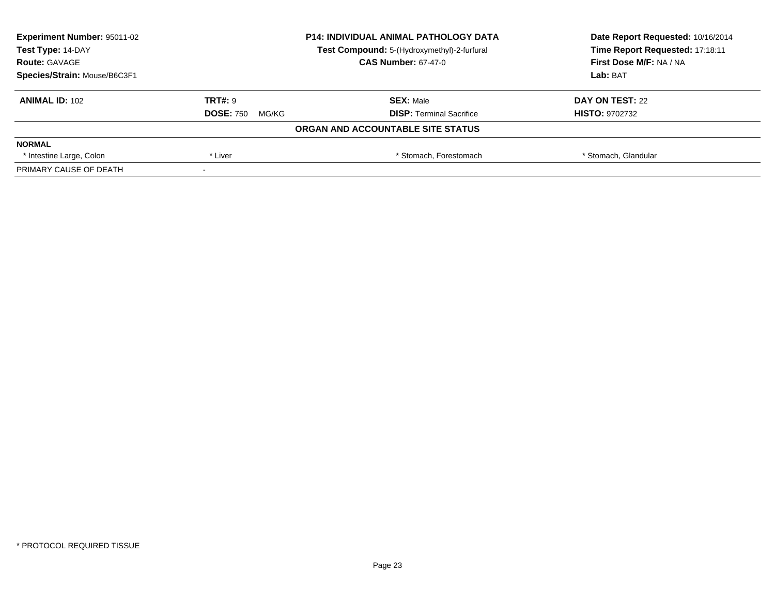| <b>Experiment Number: 95011-02</b> | <b>P14: INDIVIDUAL ANIMAL PATHOLOGY DATA</b><br>Test Compound: 5-(Hydroxymethyl)-2-furfural |                                   | Date Report Requested: 10/16/2014 |
|------------------------------------|---------------------------------------------------------------------------------------------|-----------------------------------|-----------------------------------|
| Test Type: 14-DAY                  |                                                                                             |                                   | Time Report Requested: 17:18:11   |
| <b>Route: GAVAGE</b>               |                                                                                             | <b>CAS Number: 67-47-0</b>        | First Dose M/F: NA / NA           |
| Species/Strain: Mouse/B6C3F1       |                                                                                             | Lab: BAT                          |                                   |
| <b>ANIMAL ID: 102</b>              | <b>TRT#: 9</b>                                                                              | <b>SEX: Male</b>                  | DAY ON TEST: 22                   |
|                                    | <b>DOSE: 750</b><br>MG/KG                                                                   | <b>DISP:</b> Terminal Sacrifice   | <b>HISTO: 9702732</b>             |
|                                    |                                                                                             | ORGAN AND ACCOUNTABLE SITE STATUS |                                   |
| <b>NORMAL</b>                      |                                                                                             |                                   |                                   |
| * Intestine Large, Colon           | * Liver                                                                                     | * Stomach, Forestomach            | * Stomach, Glandular              |
| PRIMARY CAUSE OF DEATH             |                                                                                             |                                   |                                   |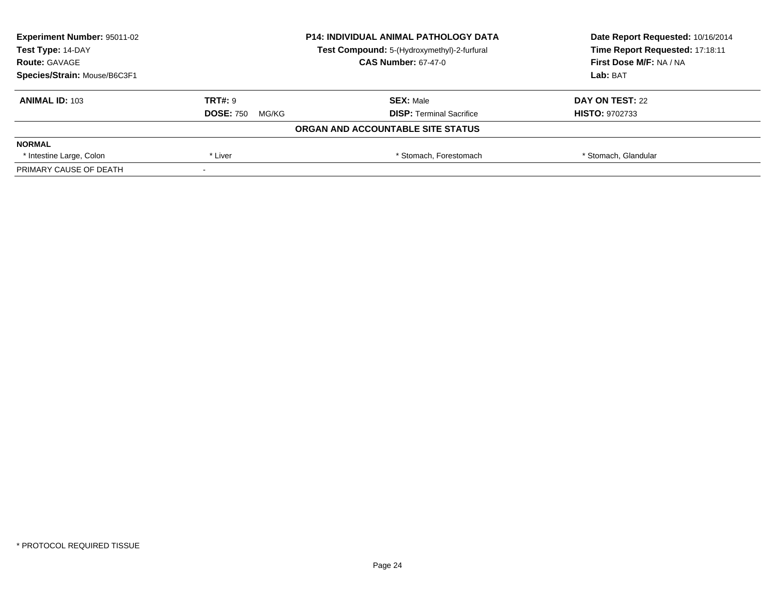| <b>Experiment Number: 95011-02</b> | <b>P14: INDIVIDUAL ANIMAL PATHOLOGY DATA</b><br>Test Compound: 5-(Hydroxymethyl)-2-furfural |                                   | Date Report Requested: 10/16/2014 |  |
|------------------------------------|---------------------------------------------------------------------------------------------|-----------------------------------|-----------------------------------|--|
| Test Type: 14-DAY                  |                                                                                             |                                   | Time Report Requested: 17:18:11   |  |
| <b>Route: GAVAGE</b>               |                                                                                             | <b>CAS Number: 67-47-0</b>        | First Dose M/F: NA / NA           |  |
| Species/Strain: Mouse/B6C3F1       |                                                                                             |                                   | Lab: BAT                          |  |
| <b>ANIMAL ID: 103</b>              | <b>TRT#: 9</b>                                                                              | <b>SEX: Male</b>                  | DAY ON TEST: 22                   |  |
|                                    | <b>DOSE: 750</b><br>MG/KG                                                                   | <b>DISP:</b> Terminal Sacrifice   | <b>HISTO: 9702733</b>             |  |
|                                    |                                                                                             | ORGAN AND ACCOUNTABLE SITE STATUS |                                   |  |
| <b>NORMAL</b>                      |                                                                                             |                                   |                                   |  |
| * Intestine Large, Colon           | * Liver                                                                                     | * Stomach, Forestomach            | * Stomach, Glandular              |  |
| PRIMARY CAUSE OF DEATH             |                                                                                             |                                   |                                   |  |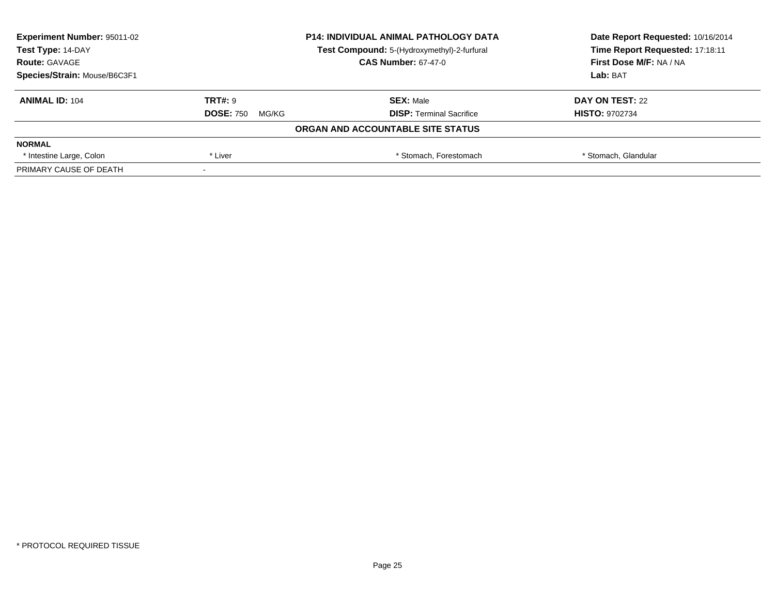| <b>Experiment Number: 95011-02</b> | <b>P14: INDIVIDUAL ANIMAL PATHOLOGY DATA</b> |                                             | Date Report Requested: 10/16/2014 |
|------------------------------------|----------------------------------------------|---------------------------------------------|-----------------------------------|
| Test Type: 14-DAY                  |                                              | Test Compound: 5-(Hydroxymethyl)-2-furfural | Time Report Requested: 17:18:11   |
| <b>Route: GAVAGE</b>               |                                              | <b>CAS Number: 67-47-0</b>                  | First Dose M/F: NA / NA           |
| Species/Strain: Mouse/B6C3F1       |                                              |                                             | Lab: BAT                          |
| <b>ANIMAL ID: 104</b>              | <b>TRT#: 9</b>                               | <b>SEX: Male</b>                            | DAY ON TEST: 22                   |
|                                    | <b>DOSE: 750</b><br>MG/KG                    | <b>DISP:</b> Terminal Sacrifice             | <b>HISTO: 9702734</b>             |
|                                    |                                              | ORGAN AND ACCOUNTABLE SITE STATUS           |                                   |
| <b>NORMAL</b>                      |                                              |                                             |                                   |
| * Intestine Large, Colon           | * Liver                                      | * Stomach, Forestomach                      | * Stomach, Glandular              |
| PRIMARY CAUSE OF DEATH             |                                              |                                             |                                   |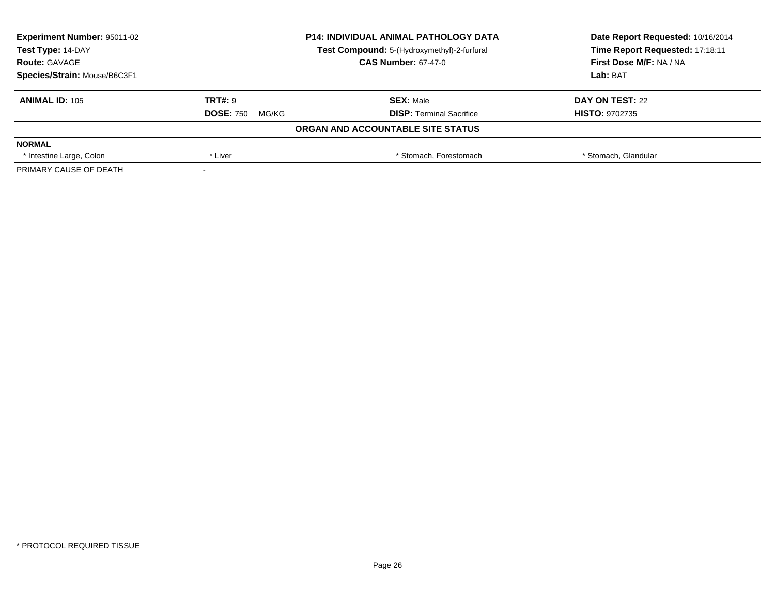| <b>Experiment Number: 95011-02</b> | <b>P14: INDIVIDUAL ANIMAL PATHOLOGY DATA</b><br>Test Compound: 5-(Hydroxymethyl)-2-furfural |                                   | Date Report Requested: 10/16/2014 |
|------------------------------------|---------------------------------------------------------------------------------------------|-----------------------------------|-----------------------------------|
| Test Type: 14-DAY                  |                                                                                             |                                   | Time Report Requested: 17:18:11   |
| <b>Route: GAVAGE</b>               |                                                                                             | <b>CAS Number: 67-47-0</b>        | First Dose M/F: NA / NA           |
| Species/Strain: Mouse/B6C3F1       |                                                                                             |                                   | Lab: BAT                          |
| <b>ANIMAL ID: 105</b>              | <b>TRT#: 9</b>                                                                              | <b>SEX: Male</b>                  | DAY ON TEST: 22                   |
|                                    | <b>DOSE: 750</b><br>MG/KG                                                                   | <b>DISP:</b> Terminal Sacrifice   | <b>HISTO: 9702735</b>             |
|                                    |                                                                                             | ORGAN AND ACCOUNTABLE SITE STATUS |                                   |
| <b>NORMAL</b>                      |                                                                                             |                                   |                                   |
| * Intestine Large, Colon           | * Liver                                                                                     | * Stomach, Forestomach            | * Stomach, Glandular              |
| PRIMARY CAUSE OF DEATH             |                                                                                             |                                   |                                   |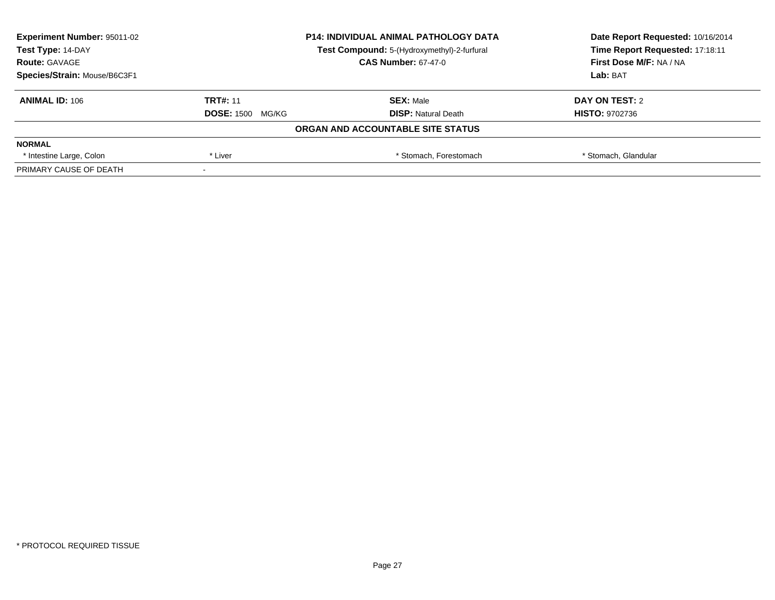| <b>Experiment Number: 95011-02</b> | <b>P14: INDIVIDUAL ANIMAL PATHOLOGY DATA</b> |                                             | Date Report Requested: 10/16/2014 |
|------------------------------------|----------------------------------------------|---------------------------------------------|-----------------------------------|
| Test Type: 14-DAY                  |                                              | Test Compound: 5-(Hydroxymethyl)-2-furfural | Time Report Requested: 17:18:11   |
| <b>Route: GAVAGE</b>               |                                              | <b>CAS Number: 67-47-0</b>                  | First Dose M/F: NA / NA           |
| Species/Strain: Mouse/B6C3F1       |                                              |                                             | Lab: BAT                          |
| <b>ANIMAL ID: 106</b>              | <b>TRT#: 11</b>                              | <b>SEX: Male</b>                            | DAY ON TEST: 2                    |
|                                    | <b>DOSE: 1500</b><br>MG/KG                   | <b>DISP:</b> Natural Death                  | <b>HISTO: 9702736</b>             |
|                                    |                                              | ORGAN AND ACCOUNTABLE SITE STATUS           |                                   |
| <b>NORMAL</b>                      |                                              |                                             |                                   |
| * Intestine Large, Colon           | * Liver                                      | * Stomach. Forestomach                      | * Stomach, Glandular              |
| PRIMARY CAUSE OF DEATH             |                                              |                                             |                                   |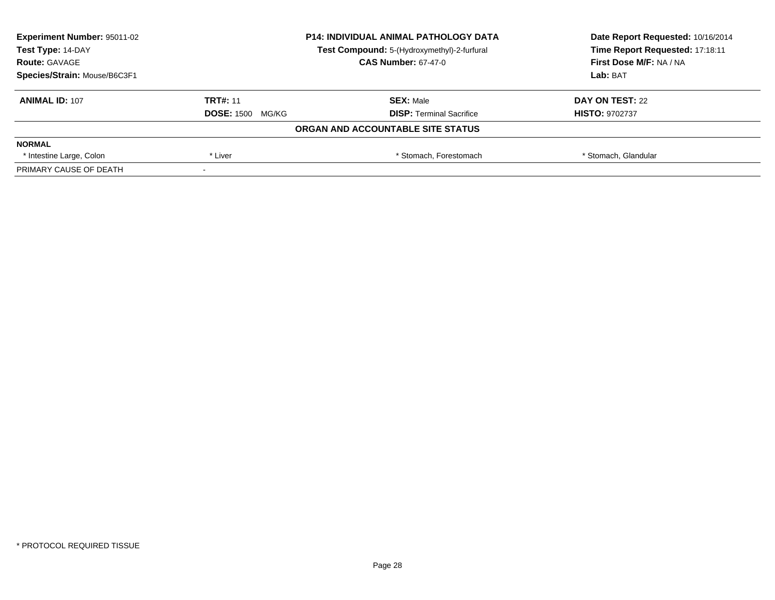| <b>Experiment Number: 95011-02</b> | <b>P14: INDIVIDUAL ANIMAL PATHOLOGY DATA</b><br>Test Compound: 5-(Hydroxymethyl)-2-furfural |                                   | Date Report Requested: 10/16/2014 |
|------------------------------------|---------------------------------------------------------------------------------------------|-----------------------------------|-----------------------------------|
| Test Type: 14-DAY                  |                                                                                             |                                   | Time Report Requested: 17:18:11   |
| <b>Route: GAVAGE</b>               |                                                                                             | <b>CAS Number: 67-47-0</b>        | First Dose M/F: NA / NA           |
| Species/Strain: Mouse/B6C3F1       |                                                                                             |                                   | Lab: BAT                          |
| <b>ANIMAL ID: 107</b>              | <b>TRT#: 11</b>                                                                             | <b>SEX: Male</b>                  | DAY ON TEST: 22                   |
|                                    | <b>DOSE: 1500 MG/KG</b>                                                                     | <b>DISP:</b> Terminal Sacrifice   | <b>HISTO: 9702737</b>             |
|                                    |                                                                                             | ORGAN AND ACCOUNTABLE SITE STATUS |                                   |
| <b>NORMAL</b>                      |                                                                                             |                                   |                                   |
| * Intestine Large, Colon           | * Liver                                                                                     | * Stomach, Forestomach            | * Stomach, Glandular              |
| PRIMARY CAUSE OF DEATH             |                                                                                             |                                   |                                   |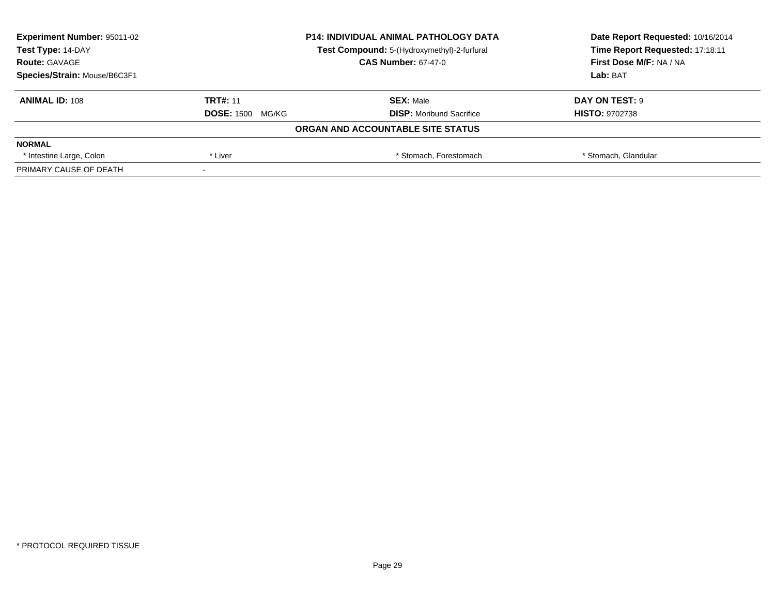| <b>Experiment Number: 95011-02</b> | <b>P14: INDIVIDUAL ANIMAL PATHOLOGY DATA</b><br>Test Compound: 5-(Hydroxymethyl)-2-furfural |                                   | Date Report Requested: 10/16/2014 |
|------------------------------------|---------------------------------------------------------------------------------------------|-----------------------------------|-----------------------------------|
| Test Type: 14-DAY                  |                                                                                             |                                   | Time Report Requested: 17:18:11   |
| <b>Route: GAVAGE</b>               |                                                                                             | <b>CAS Number: 67-47-0</b>        | First Dose M/F: NA / NA           |
| Species/Strain: Mouse/B6C3F1       |                                                                                             |                                   | Lab: BAT                          |
| <b>ANIMAL ID: 108</b>              | <b>TRT#: 11</b>                                                                             | <b>SEX: Male</b>                  | DAY ON TEST: 9                    |
|                                    | <b>DOSE: 1500 MG/KG</b>                                                                     | <b>DISP:</b> Moribund Sacrifice   | <b>HISTO: 9702738</b>             |
|                                    |                                                                                             | ORGAN AND ACCOUNTABLE SITE STATUS |                                   |
| <b>NORMAL</b>                      |                                                                                             |                                   |                                   |
| * Intestine Large, Colon           | * Liver                                                                                     | * Stomach, Forestomach            | * Stomach, Glandular              |
| PRIMARY CAUSE OF DEATH             |                                                                                             |                                   |                                   |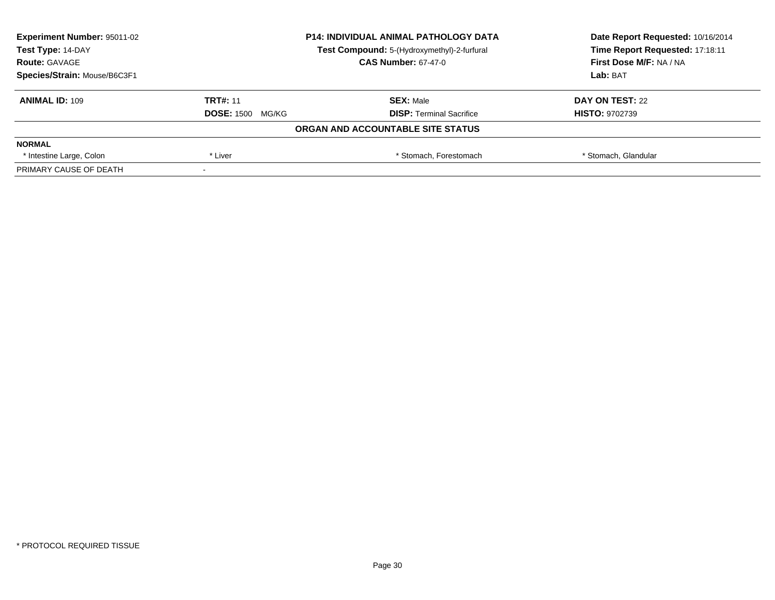| <b>Experiment Number: 95011-02</b> | <b>P14: INDIVIDUAL ANIMAL PATHOLOGY DATA</b><br>Test Compound: 5-(Hydroxymethyl)-2-furfural |                                   | Date Report Requested: 10/16/2014 |
|------------------------------------|---------------------------------------------------------------------------------------------|-----------------------------------|-----------------------------------|
| Test Type: 14-DAY                  |                                                                                             |                                   | Time Report Requested: 17:18:11   |
| <b>Route: GAVAGE</b>               |                                                                                             | <b>CAS Number: 67-47-0</b>        | First Dose M/F: NA / NA           |
| Species/Strain: Mouse/B6C3F1       |                                                                                             |                                   | Lab: BAT                          |
| <b>ANIMAL ID: 109</b>              | <b>TRT#: 11</b>                                                                             | <b>SEX: Male</b>                  | DAY ON TEST: 22                   |
|                                    | <b>DOSE: 1500 MG/KG</b>                                                                     | <b>DISP:</b> Terminal Sacrifice   | <b>HISTO: 9702739</b>             |
|                                    |                                                                                             | ORGAN AND ACCOUNTABLE SITE STATUS |                                   |
| <b>NORMAL</b>                      |                                                                                             |                                   |                                   |
| * Intestine Large, Colon           | * Liver                                                                                     | * Stomach, Forestomach            | * Stomach, Glandular              |
| PRIMARY CAUSE OF DEATH             |                                                                                             |                                   |                                   |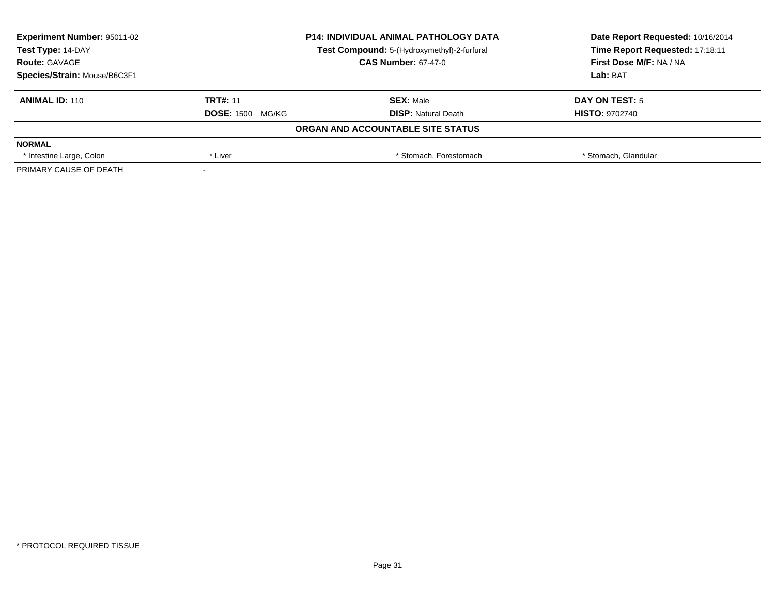| <b>Experiment Number: 95011-02</b> | <b>P14: INDIVIDUAL ANIMAL PATHOLOGY DATA</b><br>Test Compound: 5-(Hydroxymethyl)-2-furfural |                                   | Date Report Requested: 10/16/2014 |  |
|------------------------------------|---------------------------------------------------------------------------------------------|-----------------------------------|-----------------------------------|--|
| Test Type: 14-DAY                  |                                                                                             |                                   | Time Report Requested: 17:18:11   |  |
| <b>Route: GAVAGE</b>               |                                                                                             | <b>CAS Number: 67-47-0</b>        | First Dose M/F: NA / NA           |  |
| Species/Strain: Mouse/B6C3F1       |                                                                                             |                                   | Lab: BAT                          |  |
| <b>ANIMAL ID: 110</b>              | <b>TRT#: 11</b>                                                                             | <b>SEX: Male</b>                  | DAY ON TEST: 5                    |  |
|                                    | <b>DOSE: 1500</b><br>MG/KG                                                                  | <b>DISP:</b> Natural Death        | <b>HISTO: 9702740</b>             |  |
|                                    |                                                                                             | ORGAN AND ACCOUNTABLE SITE STATUS |                                   |  |
| <b>NORMAL</b>                      |                                                                                             |                                   |                                   |  |
| * Intestine Large, Colon           | * Liver                                                                                     | * Stomach, Forestomach            | * Stomach, Glandular              |  |
| PRIMARY CAUSE OF DEATH             |                                                                                             |                                   |                                   |  |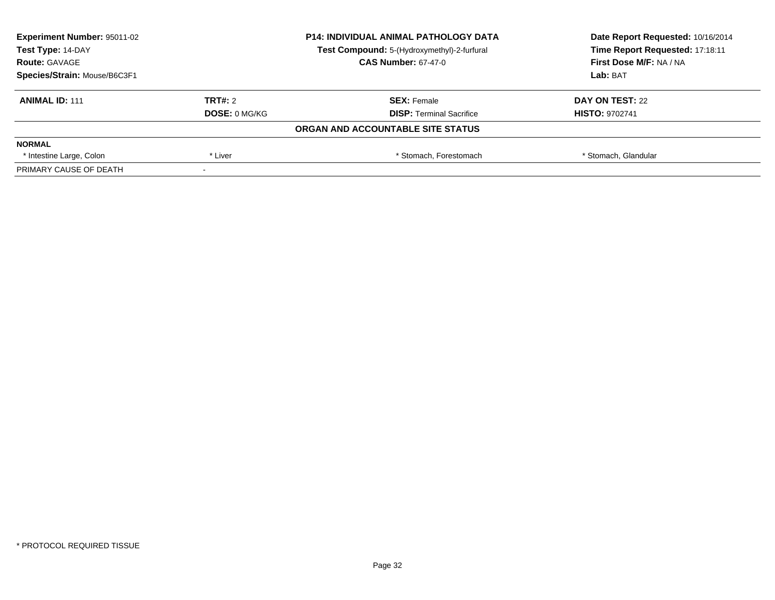| <b>Experiment Number: 95011-02</b> |                      | <b>P14: INDIVIDUAL ANIMAL PATHOLOGY DATA</b> | Date Report Requested: 10/16/2014 |  |
|------------------------------------|----------------------|----------------------------------------------|-----------------------------------|--|
| Test Type: 14-DAY                  |                      | Test Compound: 5-(Hydroxymethyl)-2-furfural  | Time Report Requested: 17:18:11   |  |
| <b>Route: GAVAGE</b>               |                      | <b>CAS Number: 67-47-0</b>                   | First Dose M/F: NA / NA           |  |
| Species/Strain: Mouse/B6C3F1       |                      |                                              | Lab: BAT                          |  |
| <b>ANIMAL ID: 111</b>              | TRT#: 2              | <b>SEX: Female</b>                           | DAY ON TEST: 22                   |  |
|                                    | <b>DOSE: 0 MG/KG</b> | <b>DISP:</b> Terminal Sacrifice              | <b>HISTO: 9702741</b>             |  |
|                                    |                      | ORGAN AND ACCOUNTABLE SITE STATUS            |                                   |  |
| <b>NORMAL</b>                      |                      |                                              |                                   |  |
| * Intestine Large, Colon           | * Liver              | * Stomach, Forestomach                       | * Stomach, Glandular              |  |
| PRIMARY CAUSE OF DEATH             |                      |                                              |                                   |  |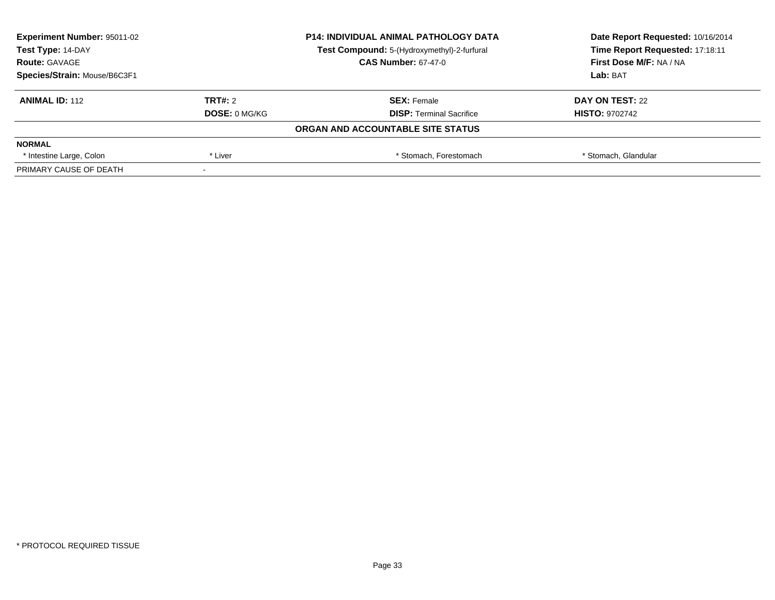| <b>Experiment Number: 95011-02</b> |                      | <b>P14: INDIVIDUAL ANIMAL PATHOLOGY DATA</b> | Date Report Requested: 10/16/2014 |
|------------------------------------|----------------------|----------------------------------------------|-----------------------------------|
| Test Type: 14-DAY                  |                      | Test Compound: 5-(Hydroxymethyl)-2-furfural  | Time Report Requested: 17:18:11   |
| <b>Route: GAVAGE</b>               |                      | <b>CAS Number: 67-47-0</b>                   | First Dose M/F: NA / NA           |
| Species/Strain: Mouse/B6C3F1       |                      |                                              | Lab: BAT                          |
| <b>ANIMAL ID: 112</b>              | <b>TRT#: 2</b>       | <b>SEX: Female</b>                           | DAY ON TEST: 22                   |
|                                    | <b>DOSE: 0 MG/KG</b> | <b>DISP:</b> Terminal Sacrifice              | <b>HISTO: 9702742</b>             |
|                                    |                      | ORGAN AND ACCOUNTABLE SITE STATUS            |                                   |
| <b>NORMAL</b>                      |                      |                                              |                                   |
| * Intestine Large, Colon           | * Liver              | * Stomach, Forestomach                       | * Stomach, Glandular              |
| PRIMARY CAUSE OF DEATH             |                      |                                              |                                   |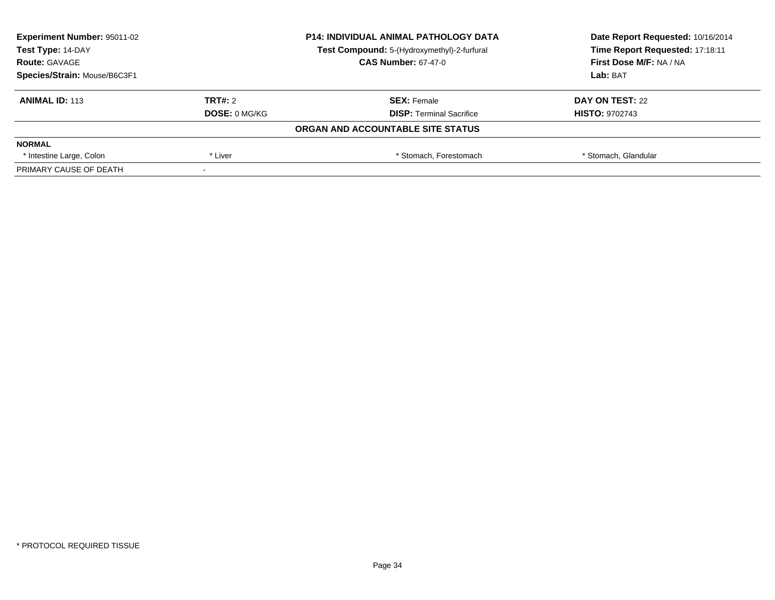| <b>Experiment Number: 95011-02</b> |                      | <b>P14: INDIVIDUAL ANIMAL PATHOLOGY DATA</b> | Date Report Requested: 10/16/2014 |
|------------------------------------|----------------------|----------------------------------------------|-----------------------------------|
| Test Type: 14-DAY                  |                      | Test Compound: 5-(Hydroxymethyl)-2-furfural  | Time Report Requested: 17:18:11   |
| <b>Route: GAVAGE</b>               |                      | <b>CAS Number: 67-47-0</b>                   | First Dose M/F: NA / NA           |
| Species/Strain: Mouse/B6C3F1       |                      |                                              | Lab: BAT                          |
| <b>ANIMAL ID: 113</b>              | <b>TRT#: 2</b>       | <b>SEX: Female</b>                           | DAY ON TEST: 22                   |
|                                    | <b>DOSE: 0 MG/KG</b> | <b>DISP:</b> Terminal Sacrifice              | <b>HISTO: 9702743</b>             |
|                                    |                      | ORGAN AND ACCOUNTABLE SITE STATUS            |                                   |
| <b>NORMAL</b>                      |                      |                                              |                                   |
| * Intestine Large, Colon           | * Liver              | * Stomach, Forestomach                       | * Stomach, Glandular              |
| PRIMARY CAUSE OF DEATH             |                      |                                              |                                   |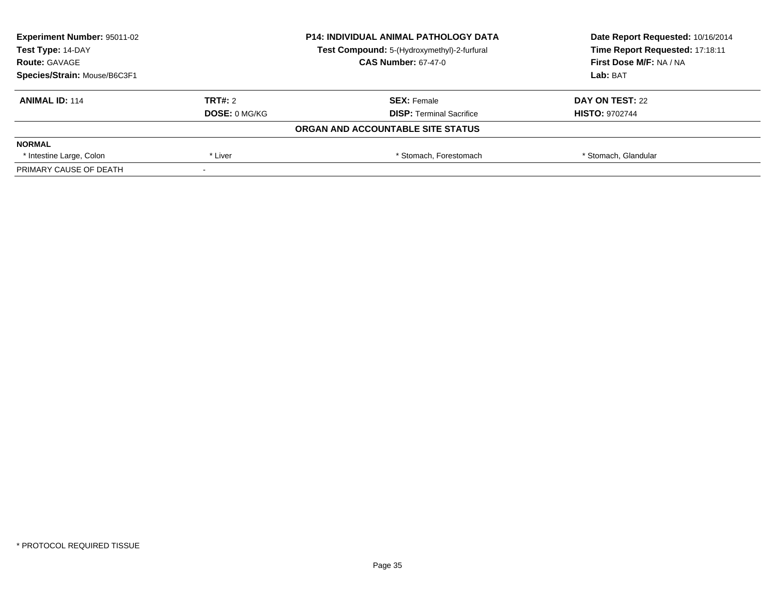| <b>Experiment Number: 95011-02</b> |                      | <b>P14: INDIVIDUAL ANIMAL PATHOLOGY DATA</b> | Date Report Requested: 10/16/2014 |  |
|------------------------------------|----------------------|----------------------------------------------|-----------------------------------|--|
| Test Type: 14-DAY                  |                      | Test Compound: 5-(Hydroxymethyl)-2-furfural  | Time Report Requested: 17:18:11   |  |
| <b>Route: GAVAGE</b>               |                      | <b>CAS Number: 67-47-0</b>                   | First Dose M/F: NA / NA           |  |
| Species/Strain: Mouse/B6C3F1       |                      |                                              | Lab: BAT                          |  |
| <b>ANIMAL ID: 114</b>              | TRT#: 2              | <b>SEX: Female</b>                           | DAY ON TEST: 22                   |  |
|                                    | <b>DOSE: 0 MG/KG</b> | <b>DISP:</b> Terminal Sacrifice              | <b>HISTO: 9702744</b>             |  |
|                                    |                      | ORGAN AND ACCOUNTABLE SITE STATUS            |                                   |  |
| <b>NORMAL</b>                      |                      |                                              |                                   |  |
| * Intestine Large, Colon           | * Liver              | * Stomach, Forestomach                       | * Stomach, Glandular              |  |
| PRIMARY CAUSE OF DEATH             |                      |                                              |                                   |  |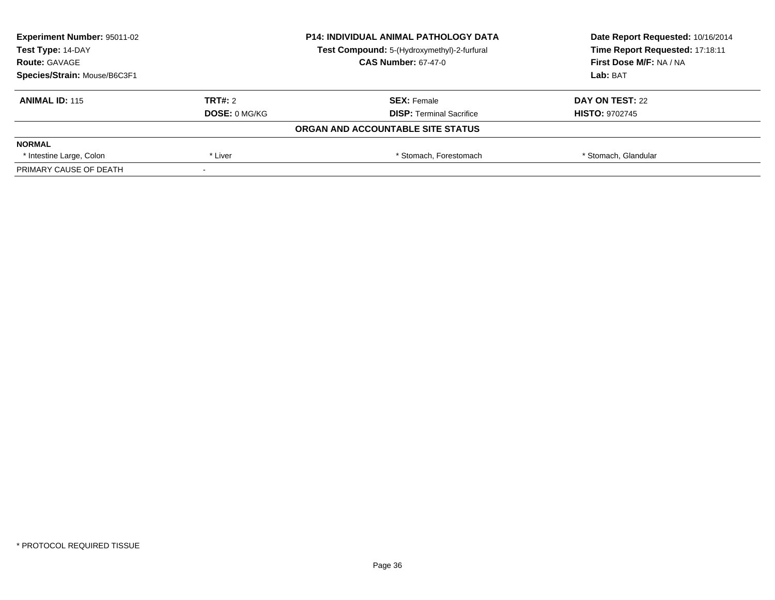| <b>Experiment Number: 95011-02</b> |                      | <b>P14: INDIVIDUAL ANIMAL PATHOLOGY DATA</b> | Date Report Requested: 10/16/2014 |
|------------------------------------|----------------------|----------------------------------------------|-----------------------------------|
| Test Type: 14-DAY                  |                      | Test Compound: 5-(Hydroxymethyl)-2-furfural  | Time Report Requested: 17:18:11   |
| <b>Route: GAVAGE</b>               |                      | <b>CAS Number: 67-47-0</b>                   | First Dose M/F: NA / NA           |
| Species/Strain: Mouse/B6C3F1       |                      |                                              | Lab: BAT                          |
| <b>ANIMAL ID: 115</b>              | <b>TRT#: 2</b>       | <b>SEX: Female</b>                           | DAY ON TEST: 22                   |
|                                    | <b>DOSE: 0 MG/KG</b> | <b>DISP:</b> Terminal Sacrifice              | <b>HISTO: 9702745</b>             |
|                                    |                      | ORGAN AND ACCOUNTABLE SITE STATUS            |                                   |
| <b>NORMAL</b>                      |                      |                                              |                                   |
| * Intestine Large, Colon           | * Liver              | * Stomach, Forestomach                       | * Stomach, Glandular              |
| PRIMARY CAUSE OF DEATH             |                      |                                              |                                   |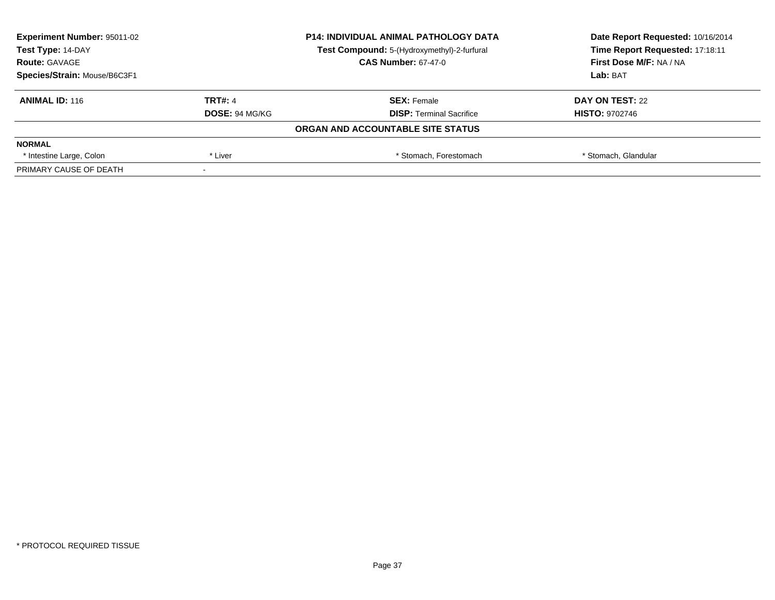| <b>Experiment Number: 95011-02</b><br>Test Type: 14-DAY |                       | <b>P14: INDIVIDUAL ANIMAL PATHOLOGY DATA</b> | Date Report Requested: 10/16/2014<br>Time Report Requested: 17:18:11 |
|---------------------------------------------------------|-----------------------|----------------------------------------------|----------------------------------------------------------------------|
|                                                         |                       | Test Compound: 5-(Hydroxymethyl)-2-furfural  |                                                                      |
| <b>Route: GAVAGE</b>                                    |                       | <b>CAS Number: 67-47-0</b>                   | First Dose M/F: NA / NA                                              |
| Species/Strain: Mouse/B6C3F1                            |                       |                                              | Lab: BAT                                                             |
| <b>ANIMAL ID: 116</b>                                   | <b>TRT#: 4</b>        | <b>SEX: Female</b>                           | DAY ON TEST: 22                                                      |
|                                                         | <b>DOSE: 94 MG/KG</b> | <b>DISP:</b> Terminal Sacrifice              | <b>HISTO: 9702746</b>                                                |
|                                                         |                       | ORGAN AND ACCOUNTABLE SITE STATUS            |                                                                      |
| <b>NORMAL</b>                                           |                       |                                              |                                                                      |
| * Intestine Large, Colon                                | * Liver               | * Stomach, Forestomach                       | * Stomach, Glandular                                                 |
| PRIMARY CAUSE OF DEATH                                  |                       |                                              |                                                                      |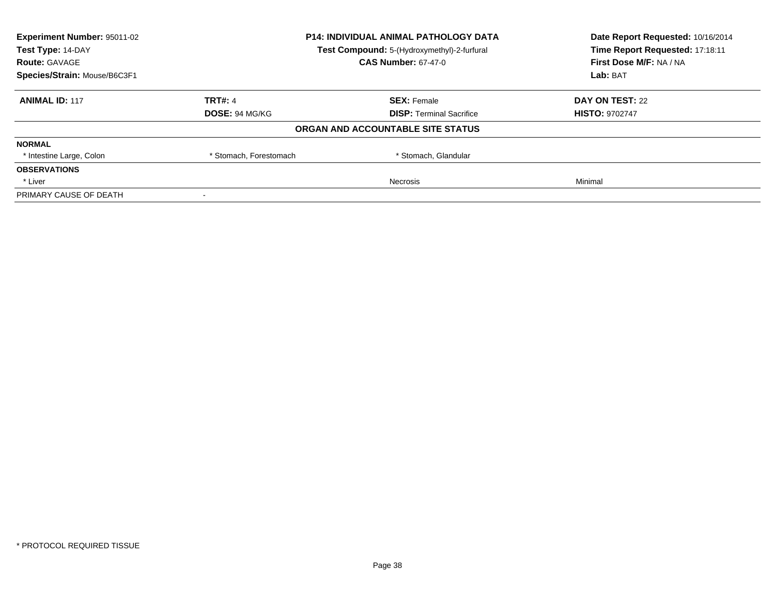| <b>Experiment Number: 95011-02</b> |                                             | <b>P14: INDIVIDUAL ANIMAL PATHOLOGY DATA</b> | Date Report Requested: 10/16/2014<br>Time Report Requested: 17:18:11 |
|------------------------------------|---------------------------------------------|----------------------------------------------|----------------------------------------------------------------------|
| Test Type: 14-DAY                  | Test Compound: 5-(Hydroxymethyl)-2-furfural |                                              |                                                                      |
| <b>Route: GAVAGE</b>               |                                             | <b>CAS Number: 67-47-0</b>                   | First Dose M/F: NA / NA                                              |
| Species/Strain: Mouse/B6C3F1       |                                             |                                              | Lab: BAT                                                             |
| <b>ANIMAL ID: 117</b>              | <b>TRT#: 4</b>                              | <b>SEX: Female</b>                           | DAY ON TEST: 22                                                      |
|                                    | <b>DOSE: 94 MG/KG</b>                       | <b>DISP:</b> Terminal Sacrifice              | <b>HISTO: 9702747</b>                                                |
|                                    |                                             | ORGAN AND ACCOUNTABLE SITE STATUS            |                                                                      |
| <b>NORMAL</b>                      |                                             |                                              |                                                                      |
| * Intestine Large, Colon           | * Stomach, Forestomach                      | * Stomach, Glandular                         |                                                                      |
| <b>OBSERVATIONS</b>                |                                             |                                              |                                                                      |
| * Liver                            |                                             | Necrosis                                     | Minimal                                                              |
| PRIMARY CAUSE OF DEATH             |                                             |                                              |                                                                      |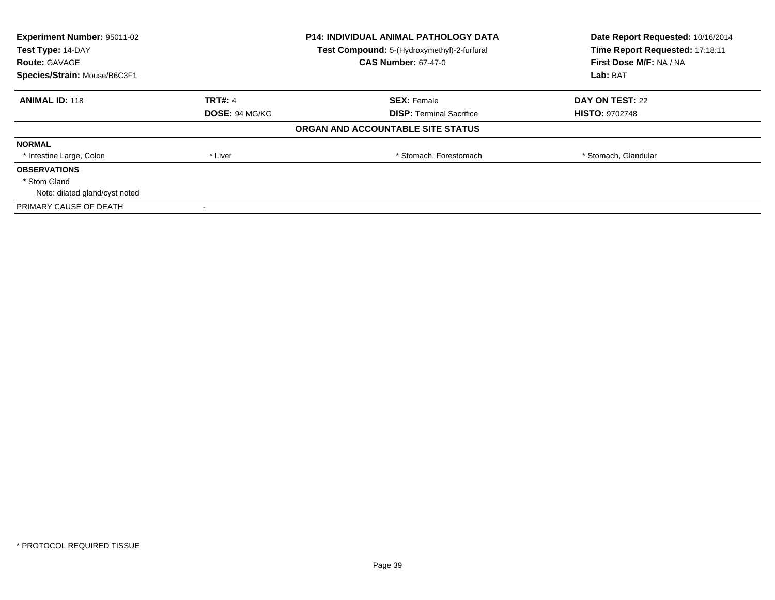| <b>Experiment Number: 95011-02</b><br>Test Type: 14-DAY |                | <b>P14: INDIVIDUAL ANIMAL PATHOLOGY DATA</b> | Date Report Requested: 10/16/2014<br>Time Report Requested: 17:18:11 |
|---------------------------------------------------------|----------------|----------------------------------------------|----------------------------------------------------------------------|
|                                                         |                | Test Compound: 5-(Hydroxymethyl)-2-furfural  |                                                                      |
| <b>Route: GAVAGE</b>                                    |                | <b>CAS Number: 67-47-0</b>                   | First Dose M/F: NA / NA                                              |
| Species/Strain: Mouse/B6C3F1                            |                |                                              | Lab: BAT                                                             |
| <b>ANIMAL ID: 118</b>                                   | <b>TRT#: 4</b> | <b>SEX: Female</b>                           | DAY ON TEST: 22                                                      |
|                                                         | DOSE: 94 MG/KG | <b>DISP:</b> Terminal Sacrifice              | <b>HISTO: 9702748</b>                                                |
|                                                         |                | ORGAN AND ACCOUNTABLE SITE STATUS            |                                                                      |
| <b>NORMAL</b>                                           |                |                                              |                                                                      |
| * Intestine Large, Colon                                | * Liver        | * Stomach, Forestomach                       | * Stomach, Glandular                                                 |
| <b>OBSERVATIONS</b>                                     |                |                                              |                                                                      |
| * Stom Gland                                            |                |                                              |                                                                      |
| Note: dilated gland/cyst noted                          |                |                                              |                                                                      |
| PRIMARY CAUSE OF DEATH                                  |                |                                              |                                                                      |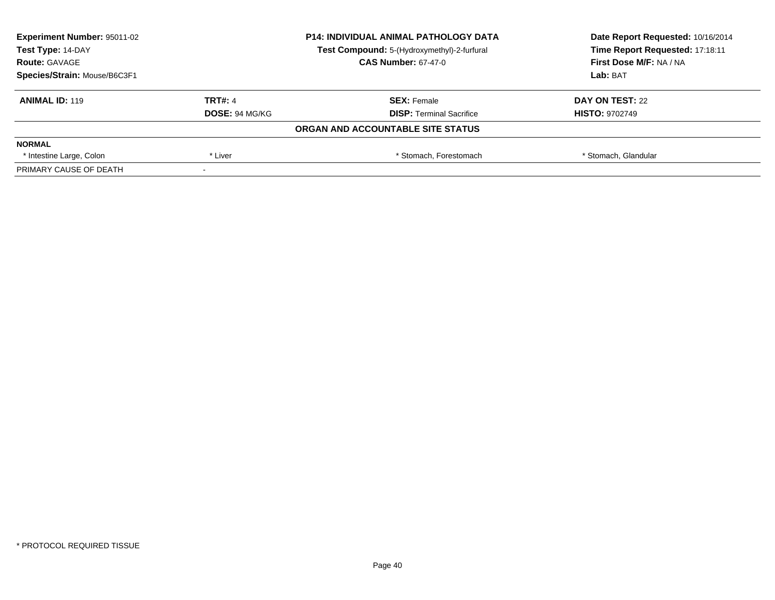| <b>Experiment Number: 95011-02</b><br>Test Type: 14-DAY |                       | <b>P14: INDIVIDUAL ANIMAL PATHOLOGY DATA</b> | Date Report Requested: 10/16/2014<br>Time Report Requested: 17:18:11 |
|---------------------------------------------------------|-----------------------|----------------------------------------------|----------------------------------------------------------------------|
|                                                         |                       | Test Compound: 5-(Hydroxymethyl)-2-furfural  |                                                                      |
| <b>Route: GAVAGE</b>                                    |                       | <b>CAS Number: 67-47-0</b>                   | First Dose M/F: NA / NA                                              |
| Species/Strain: Mouse/B6C3F1                            |                       |                                              | Lab: BAT                                                             |
| <b>ANIMAL ID: 119</b>                                   | <b>TRT#: 4</b>        | <b>SEX: Female</b>                           | DAY ON TEST: 22                                                      |
|                                                         | <b>DOSE: 94 MG/KG</b> | <b>DISP:</b> Terminal Sacrifice              | <b>HISTO: 9702749</b>                                                |
|                                                         |                       | ORGAN AND ACCOUNTABLE SITE STATUS            |                                                                      |
| <b>NORMAL</b>                                           |                       |                                              |                                                                      |
| * Intestine Large, Colon                                | * Liver               | * Stomach, Forestomach                       | * Stomach, Glandular                                                 |
| PRIMARY CAUSE OF DEATH                                  |                       |                                              |                                                                      |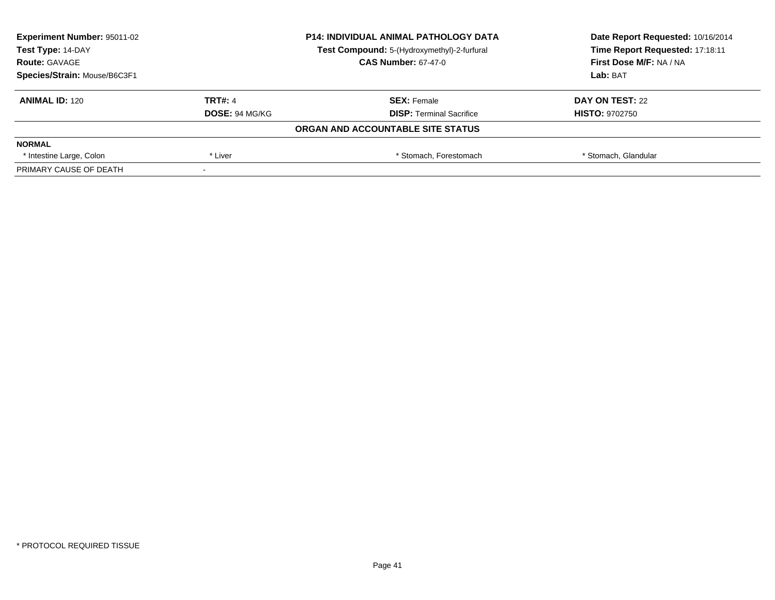| <b>Experiment Number: 95011-02</b><br>Test Type: 14-DAY |                       | <b>P14: INDIVIDUAL ANIMAL PATHOLOGY DATA</b> | Date Report Requested: 10/16/2014<br>Time Report Requested: 17:18:11 |
|---------------------------------------------------------|-----------------------|----------------------------------------------|----------------------------------------------------------------------|
|                                                         |                       | Test Compound: 5-(Hydroxymethyl)-2-furfural  |                                                                      |
| <b>Route: GAVAGE</b>                                    |                       | <b>CAS Number: 67-47-0</b>                   | First Dose M/F: NA / NA                                              |
| Species/Strain: Mouse/B6C3F1                            |                       |                                              | Lab: BAT                                                             |
| <b>ANIMAL ID: 120</b>                                   | <b>TRT#: 4</b>        | <b>SEX: Female</b>                           | DAY ON TEST: 22                                                      |
|                                                         | <b>DOSE: 94 MG/KG</b> | <b>DISP:</b> Terminal Sacrifice              | <b>HISTO: 9702750</b>                                                |
|                                                         |                       | ORGAN AND ACCOUNTABLE SITE STATUS            |                                                                      |
| <b>NORMAL</b>                                           |                       |                                              |                                                                      |
| * Intestine Large, Colon                                | * Liver               | * Stomach, Forestomach                       | * Stomach, Glandular                                                 |
| PRIMARY CAUSE OF DEATH                                  |                       |                                              |                                                                      |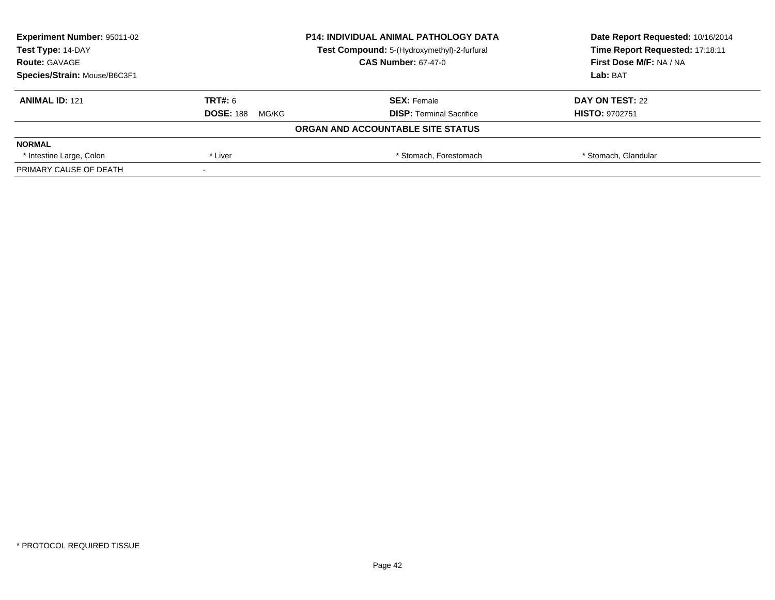| <b>Experiment Number: 95011-02</b> | <b>P14: INDIVIDUAL ANIMAL PATHOLOGY DATA</b> |                                             | Date Report Requested: 10/16/2014 |  |
|------------------------------------|----------------------------------------------|---------------------------------------------|-----------------------------------|--|
| Test Type: 14-DAY                  |                                              | Test Compound: 5-(Hydroxymethyl)-2-furfural | Time Report Requested: 17:18:11   |  |
| <b>Route: GAVAGE</b>               |                                              | <b>CAS Number: 67-47-0</b>                  | First Dose M/F: NA / NA           |  |
| Species/Strain: Mouse/B6C3F1       |                                              |                                             | Lab: BAT                          |  |
| <b>ANIMAL ID: 121</b>              | TRT#: 6                                      | <b>SEX: Female</b>                          | DAY ON TEST: 22                   |  |
|                                    | <b>DOSE: 188</b><br>MG/KG                    | <b>DISP:</b> Terminal Sacrifice             | <b>HISTO: 9702751</b>             |  |
|                                    |                                              | ORGAN AND ACCOUNTABLE SITE STATUS           |                                   |  |
| <b>NORMAL</b>                      |                                              |                                             |                                   |  |
| * Intestine Large, Colon           | * Liver                                      | * Stomach, Forestomach                      | * Stomach, Glandular              |  |
| PRIMARY CAUSE OF DEATH             |                                              |                                             |                                   |  |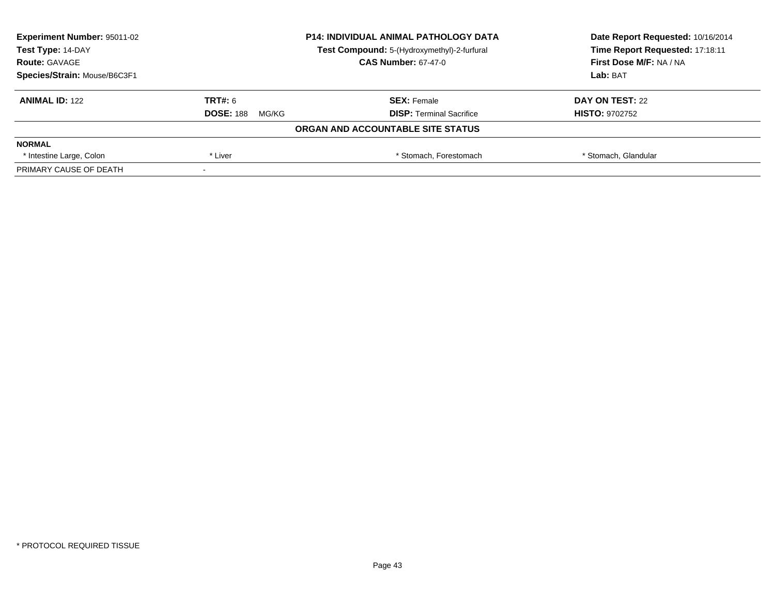| <b>Experiment Number: 95011-02</b> | <b>P14: INDIVIDUAL ANIMAL PATHOLOGY DATA</b><br>Test Compound: 5-(Hydroxymethyl)-2-furfural |                                   | Date Report Requested: 10/16/2014 |
|------------------------------------|---------------------------------------------------------------------------------------------|-----------------------------------|-----------------------------------|
| Test Type: 14-DAY                  |                                                                                             |                                   | Time Report Requested: 17:18:11   |
| <b>Route: GAVAGE</b>               |                                                                                             | <b>CAS Number: 67-47-0</b>        | <b>First Dose M/F: NA / NA</b>    |
| Species/Strain: Mouse/B6C3F1       |                                                                                             |                                   | Lab: BAT                          |
| <b>ANIMAL ID: 122</b>              | TRT#: 6                                                                                     | <b>SEX: Female</b>                | DAY ON TEST: 22                   |
|                                    | <b>DOSE: 188</b><br>MG/KG                                                                   | <b>DISP:</b> Terminal Sacrifice   | <b>HISTO: 9702752</b>             |
|                                    |                                                                                             | ORGAN AND ACCOUNTABLE SITE STATUS |                                   |
| <b>NORMAL</b>                      |                                                                                             |                                   |                                   |
| * Intestine Large, Colon           | * Liver                                                                                     | * Stomach, Forestomach            | * Stomach, Glandular              |
| PRIMARY CAUSE OF DEATH             |                                                                                             |                                   |                                   |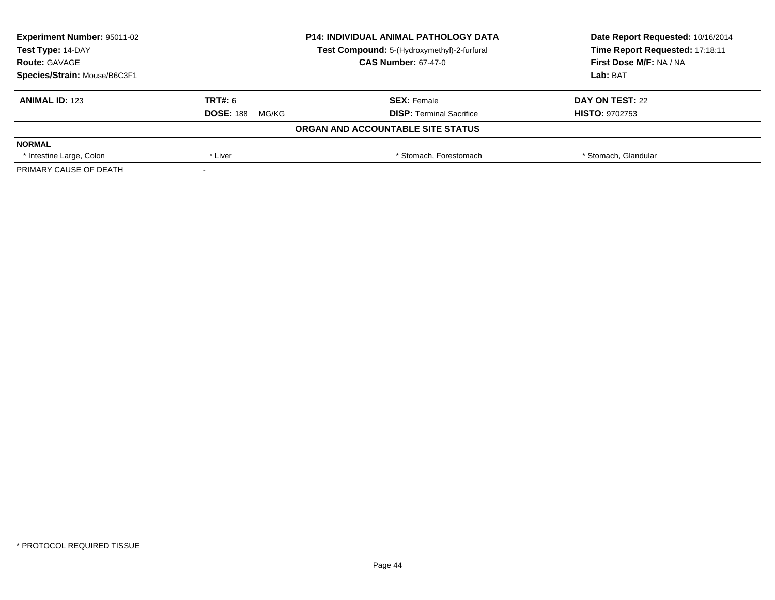| <b>Experiment Number: 95011-02</b> | <b>P14: INDIVIDUAL ANIMAL PATHOLOGY DATA</b> |                                             | Date Report Requested: 10/16/2014 |  |
|------------------------------------|----------------------------------------------|---------------------------------------------|-----------------------------------|--|
| Test Type: 14-DAY                  |                                              | Test Compound: 5-(Hydroxymethyl)-2-furfural | Time Report Requested: 17:18:11   |  |
| <b>Route: GAVAGE</b>               |                                              | <b>CAS Number: 67-47-0</b>                  | <b>First Dose M/F: NA / NA</b>    |  |
| Species/Strain: Mouse/B6C3F1       |                                              |                                             | Lab: BAT                          |  |
| <b>ANIMAL ID: 123</b>              | TRT#: 6                                      | <b>SEX: Female</b>                          | DAY ON TEST: 22                   |  |
|                                    | <b>DOSE: 188</b><br>MG/KG                    | <b>DISP:</b> Terminal Sacrifice             | <b>HISTO: 9702753</b>             |  |
|                                    |                                              | ORGAN AND ACCOUNTABLE SITE STATUS           |                                   |  |
| <b>NORMAL</b>                      |                                              |                                             |                                   |  |
| * Intestine Large, Colon           | * Liver                                      | * Stomach, Forestomach                      | * Stomach, Glandular              |  |
| PRIMARY CAUSE OF DEATH             |                                              |                                             |                                   |  |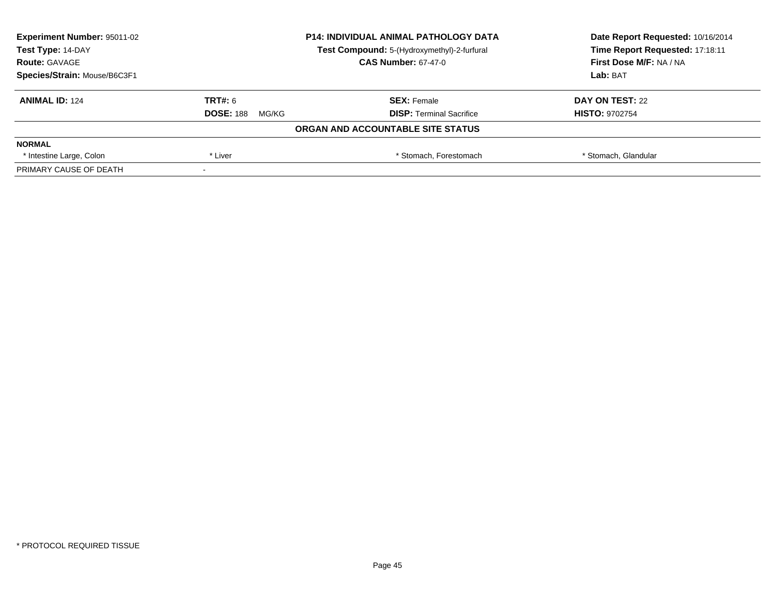| <b>Experiment Number: 95011-02</b> | <b>P14: INDIVIDUAL ANIMAL PATHOLOGY DATA</b><br>Test Compound: 5-(Hydroxymethyl)-2-furfural |                                   | Date Report Requested: 10/16/2014 |  |
|------------------------------------|---------------------------------------------------------------------------------------------|-----------------------------------|-----------------------------------|--|
| Test Type: 14-DAY                  |                                                                                             |                                   | Time Report Requested: 17:18:11   |  |
| <b>Route: GAVAGE</b>               |                                                                                             | <b>CAS Number: 67-47-0</b>        | <b>First Dose M/F: NA / NA</b>    |  |
| Species/Strain: Mouse/B6C3F1       |                                                                                             |                                   | Lab: BAT                          |  |
| <b>ANIMAL ID: 124</b>              | TRT#: 6                                                                                     | <b>SEX: Female</b>                | DAY ON TEST: 22                   |  |
|                                    | <b>DOSE: 188</b><br>MG/KG                                                                   | <b>DISP:</b> Terminal Sacrifice   | <b>HISTO: 9702754</b>             |  |
|                                    |                                                                                             | ORGAN AND ACCOUNTABLE SITE STATUS |                                   |  |
| <b>NORMAL</b>                      |                                                                                             |                                   |                                   |  |
| * Intestine Large, Colon           | * Liver                                                                                     | * Stomach, Forestomach            | * Stomach, Glandular              |  |
| PRIMARY CAUSE OF DEATH             |                                                                                             |                                   |                                   |  |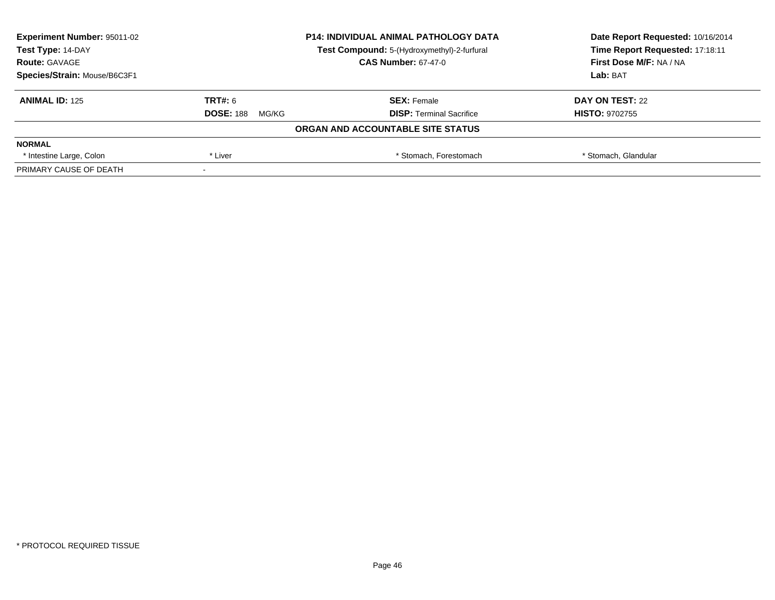| <b>Experiment Number: 95011-02</b> | <b>P14: INDIVIDUAL ANIMAL PATHOLOGY DATA</b> |                                             | Date Report Requested: 10/16/2014 |
|------------------------------------|----------------------------------------------|---------------------------------------------|-----------------------------------|
| Test Type: 14-DAY                  |                                              | Test Compound: 5-(Hydroxymethyl)-2-furfural | Time Report Requested: 17:18:11   |
| <b>Route: GAVAGE</b>               |                                              | <b>CAS Number: 67-47-0</b>                  | <b>First Dose M/F: NA / NA</b>    |
| Species/Strain: Mouse/B6C3F1       |                                              |                                             | Lab: BAT                          |
| <b>ANIMAL ID: 125</b>              | TRT#: 6                                      | <b>SEX: Female</b>                          | DAY ON TEST: 22                   |
|                                    | <b>DOSE: 188</b><br>MG/KG                    | <b>DISP:</b> Terminal Sacrifice             | <b>HISTO: 9702755</b>             |
|                                    |                                              | ORGAN AND ACCOUNTABLE SITE STATUS           |                                   |
| <b>NORMAL</b>                      |                                              |                                             |                                   |
| * Intestine Large, Colon           | * Liver                                      | * Stomach, Forestomach                      | * Stomach, Glandular              |
| PRIMARY CAUSE OF DEATH             |                                              |                                             |                                   |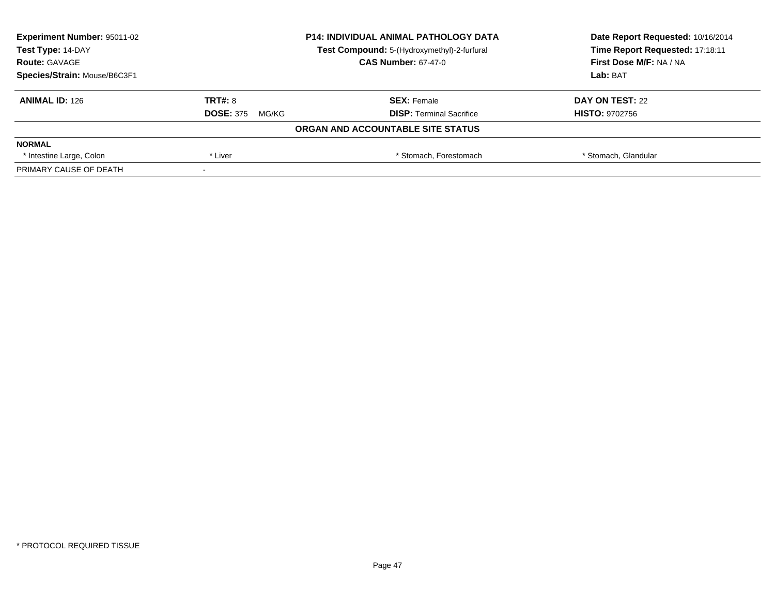| <b>Experiment Number: 95011-02</b> | <b>P14: INDIVIDUAL ANIMAL PATHOLOGY DATA</b> |                                             | Date Report Requested: 10/16/2014 |  |
|------------------------------------|----------------------------------------------|---------------------------------------------|-----------------------------------|--|
| Test Type: 14-DAY                  |                                              | Test Compound: 5-(Hydroxymethyl)-2-furfural | Time Report Requested: 17:18:11   |  |
| <b>Route: GAVAGE</b>               |                                              | <b>CAS Number: 67-47-0</b>                  | <b>First Dose M/F: NA / NA</b>    |  |
| Species/Strain: Mouse/B6C3F1       |                                              |                                             | Lab: BAT                          |  |
| <b>ANIMAL ID: 126</b>              | TRT#: 8                                      | <b>SEX: Female</b>                          | DAY ON TEST: 22                   |  |
|                                    | <b>DOSE: 375</b><br>MG/KG                    | <b>DISP:</b> Terminal Sacrifice             | <b>HISTO: 9702756</b>             |  |
|                                    |                                              | ORGAN AND ACCOUNTABLE SITE STATUS           |                                   |  |
| <b>NORMAL</b>                      |                                              |                                             |                                   |  |
| * Intestine Large, Colon           | * Liver                                      | * Stomach, Forestomach                      | * Stomach, Glandular              |  |
| PRIMARY CAUSE OF DEATH             |                                              |                                             |                                   |  |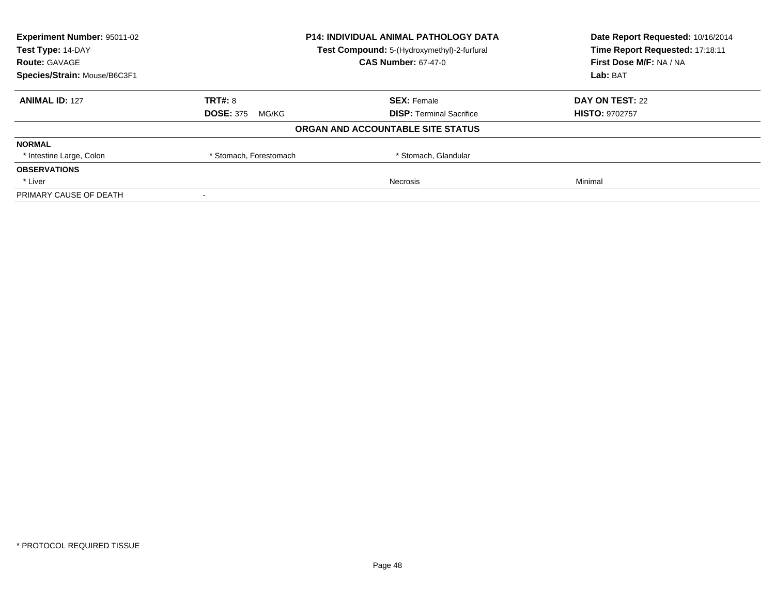| <b>Experiment Number: 95011-02</b> |                                             | <b>P14: INDIVIDUAL ANIMAL PATHOLOGY DATA</b> | Date Report Requested: 10/16/2014 |
|------------------------------------|---------------------------------------------|----------------------------------------------|-----------------------------------|
| Test Type: 14-DAY                  | Test Compound: 5-(Hydroxymethyl)-2-furfural |                                              | Time Report Requested: 17:18:11   |
| <b>Route: GAVAGE</b>               |                                             | <b>CAS Number: 67-47-0</b>                   | First Dose M/F: NA / NA           |
| Species/Strain: Mouse/B6C3F1       |                                             |                                              | Lab: BAT                          |
| <b>ANIMAL ID: 127</b>              | <b>TRT#: 8</b>                              | <b>SEX: Female</b>                           | DAY ON TEST: 22                   |
|                                    | <b>DOSE: 375</b><br>MG/KG                   | <b>DISP:</b> Terminal Sacrifice              | <b>HISTO: 9702757</b>             |
|                                    |                                             | ORGAN AND ACCOUNTABLE SITE STATUS            |                                   |
| <b>NORMAL</b>                      |                                             |                                              |                                   |
| * Intestine Large, Colon           | * Stomach, Forestomach                      | * Stomach, Glandular                         |                                   |
| <b>OBSERVATIONS</b>                |                                             |                                              |                                   |
| * Liver                            |                                             | Necrosis                                     | Minimal                           |
| PRIMARY CAUSE OF DEATH             |                                             |                                              |                                   |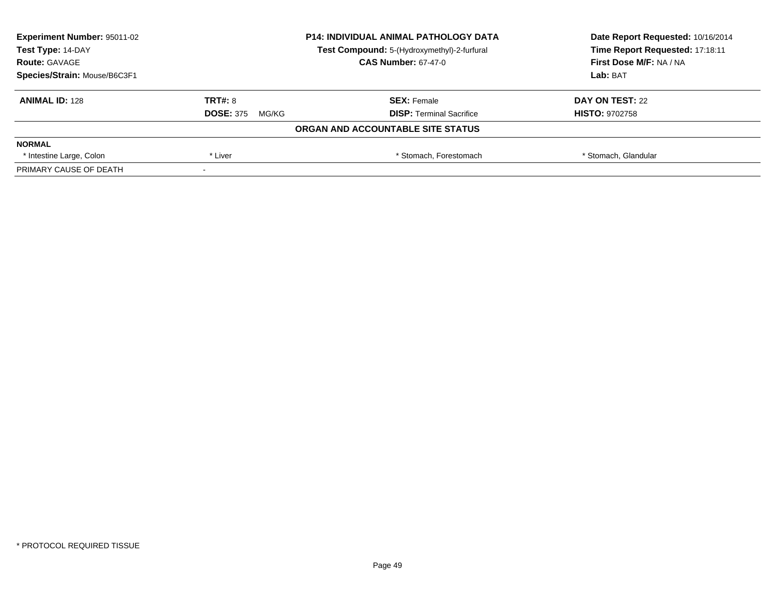| <b>Experiment Number: 95011-02</b> | <b>P14: INDIVIDUAL ANIMAL PATHOLOGY DATA</b> |                                             | Date Report Requested: 10/16/2014 |
|------------------------------------|----------------------------------------------|---------------------------------------------|-----------------------------------|
| Test Type: 14-DAY                  |                                              | Test Compound: 5-(Hydroxymethyl)-2-furfural | Time Report Requested: 17:18:11   |
| <b>Route: GAVAGE</b>               |                                              | <b>CAS Number: 67-47-0</b>                  | <b>First Dose M/F: NA / NA</b>    |
| Species/Strain: Mouse/B6C3F1       |                                              |                                             | Lab: BAT                          |
| <b>ANIMAL ID: 128</b>              | TRT#: 8                                      | <b>SEX: Female</b>                          | DAY ON TEST: 22                   |
|                                    | <b>DOSE: 375</b><br>MG/KG                    | <b>DISP:</b> Terminal Sacrifice             | <b>HISTO: 9702758</b>             |
|                                    |                                              | ORGAN AND ACCOUNTABLE SITE STATUS           |                                   |
| <b>NORMAL</b>                      |                                              |                                             |                                   |
| * Intestine Large, Colon           | * Liver                                      | * Stomach, Forestomach                      | * Stomach, Glandular              |
| PRIMARY CAUSE OF DEATH             |                                              |                                             |                                   |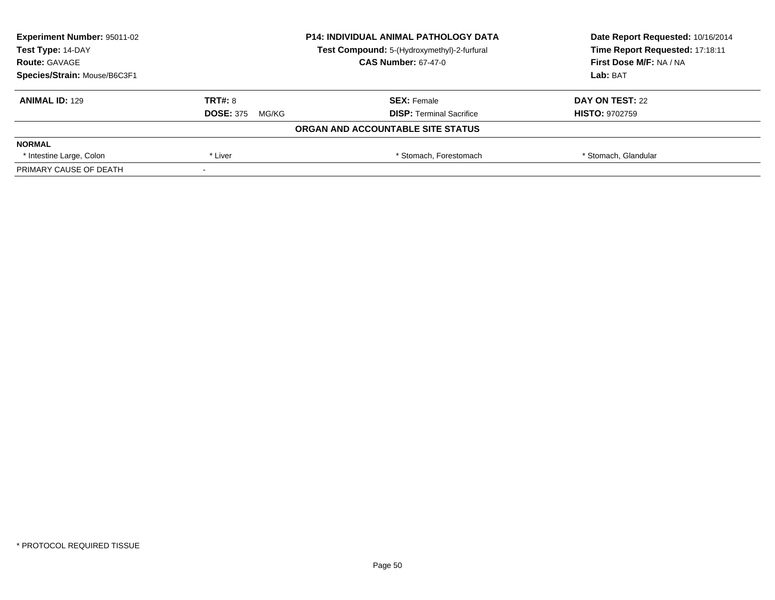| <b>Experiment Number: 95011-02</b> | <b>P14: INDIVIDUAL ANIMAL PATHOLOGY DATA</b> |                                             | Date Report Requested: 10/16/2014 |
|------------------------------------|----------------------------------------------|---------------------------------------------|-----------------------------------|
| Test Type: 14-DAY                  |                                              | Test Compound: 5-(Hydroxymethyl)-2-furfural | Time Report Requested: 17:18:11   |
| <b>Route: GAVAGE</b>               |                                              | <b>CAS Number: 67-47-0</b>                  | <b>First Dose M/F: NA / NA</b>    |
| Species/Strain: Mouse/B6C3F1       |                                              |                                             | Lab: BAT                          |
| <b>ANIMAL ID: 129</b>              | TRT#: 8                                      | <b>SEX: Female</b>                          | DAY ON TEST: 22                   |
|                                    | <b>DOSE: 375</b><br>MG/KG                    | <b>DISP:</b> Terminal Sacrifice             | <b>HISTO: 9702759</b>             |
|                                    |                                              | ORGAN AND ACCOUNTABLE SITE STATUS           |                                   |
| <b>NORMAL</b>                      |                                              |                                             |                                   |
| * Intestine Large, Colon           | * Liver                                      | * Stomach, Forestomach                      | * Stomach, Glandular              |
| PRIMARY CAUSE OF DEATH             |                                              |                                             |                                   |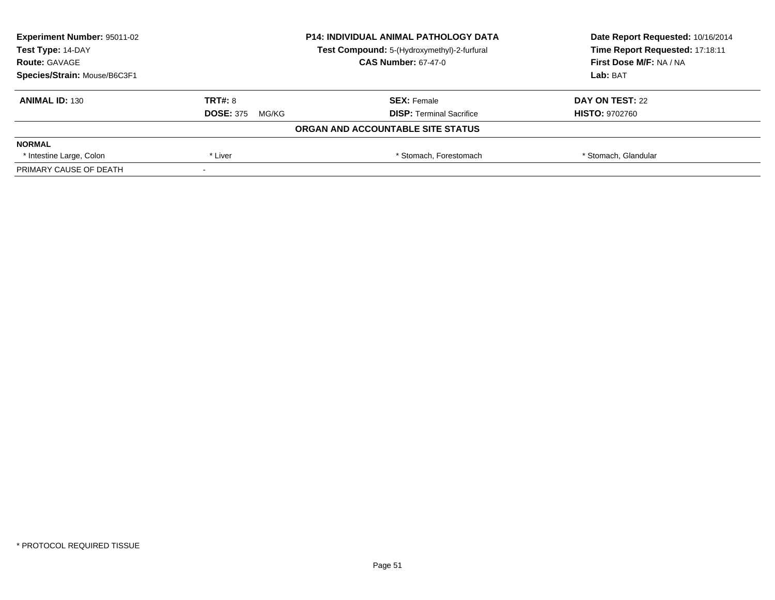| <b>Experiment Number: 95011-02</b> | <b>P14: INDIVIDUAL ANIMAL PATHOLOGY DATA</b><br>Test Compound: 5-(Hydroxymethyl)-2-furfural |                                   | Date Report Requested: 10/16/2014 |
|------------------------------------|---------------------------------------------------------------------------------------------|-----------------------------------|-----------------------------------|
| Test Type: 14-DAY                  |                                                                                             |                                   | Time Report Requested: 17:18:11   |
| <b>Route: GAVAGE</b>               |                                                                                             | <b>CAS Number: 67-47-0</b>        | <b>First Dose M/F: NA / NA</b>    |
| Species/Strain: Mouse/B6C3F1       |                                                                                             |                                   | Lab: BAT                          |
| <b>ANIMAL ID: 130</b>              | TRT#: 8                                                                                     | <b>SEX: Female</b>                | DAY ON TEST: 22                   |
|                                    | <b>DOSE: 375</b><br>MG/KG                                                                   | <b>DISP:</b> Terminal Sacrifice   | <b>HISTO: 9702760</b>             |
|                                    |                                                                                             | ORGAN AND ACCOUNTABLE SITE STATUS |                                   |
| <b>NORMAL</b>                      |                                                                                             |                                   |                                   |
| * Intestine Large, Colon           | * Liver                                                                                     | * Stomach, Forestomach            | * Stomach, Glandular              |
| PRIMARY CAUSE OF DEATH             |                                                                                             |                                   |                                   |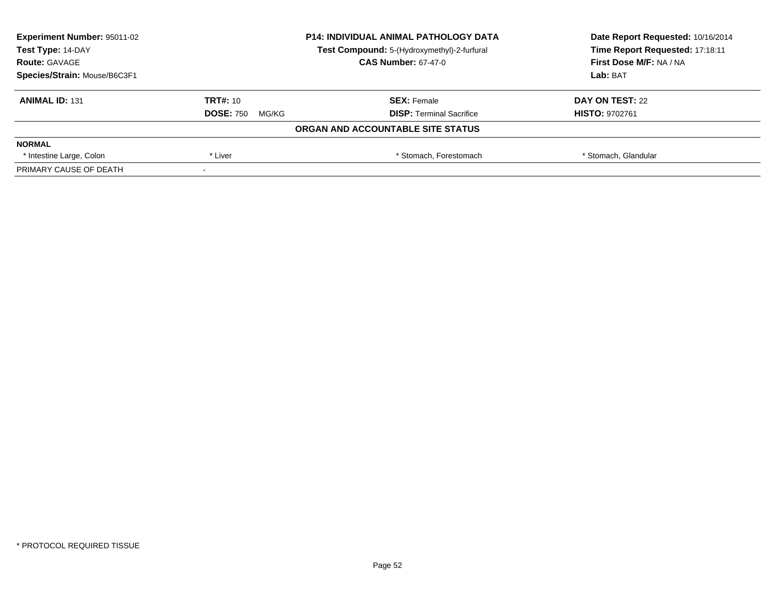| <b>Experiment Number: 95011-02</b> | <b>P14: INDIVIDUAL ANIMAL PATHOLOGY DATA</b><br>Test Compound: 5-(Hydroxymethyl)-2-furfural |                                   | Date Report Requested: 10/16/2014 |
|------------------------------------|---------------------------------------------------------------------------------------------|-----------------------------------|-----------------------------------|
| Test Type: 14-DAY                  |                                                                                             |                                   | Time Report Requested: 17:18:11   |
| <b>Route: GAVAGE</b>               |                                                                                             | <b>CAS Number: 67-47-0</b>        | <b>First Dose M/F: NA / NA</b>    |
| Species/Strain: Mouse/B6C3F1       |                                                                                             |                                   | Lab: BAT                          |
| <b>ANIMAL ID: 131</b>              | <b>TRT#: 10</b>                                                                             | <b>SEX: Female</b>                | DAY ON TEST: 22                   |
|                                    | <b>DOSE: 750</b><br>MG/KG                                                                   | <b>DISP:</b> Terminal Sacrifice   | <b>HISTO: 9702761</b>             |
|                                    |                                                                                             | ORGAN AND ACCOUNTABLE SITE STATUS |                                   |
| <b>NORMAL</b>                      |                                                                                             |                                   |                                   |
| * Intestine Large, Colon           | * Liver                                                                                     | * Stomach, Forestomach            | * Stomach, Glandular              |
| PRIMARY CAUSE OF DEATH             |                                                                                             |                                   |                                   |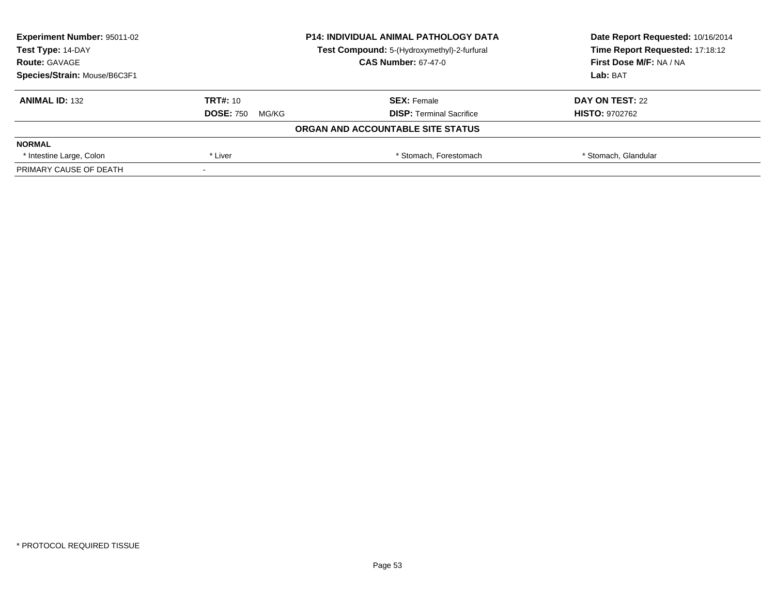| <b>Experiment Number: 95011-02</b> | <b>P14: INDIVIDUAL ANIMAL PATHOLOGY DATA</b><br>Test Compound: 5-(Hydroxymethyl)-2-furfural |                                   | Date Report Requested: 10/16/2014 |
|------------------------------------|---------------------------------------------------------------------------------------------|-----------------------------------|-----------------------------------|
| Test Type: 14-DAY                  |                                                                                             |                                   | Time Report Requested: 17:18:12   |
| <b>Route: GAVAGE</b>               |                                                                                             | <b>CAS Number: 67-47-0</b>        | <b>First Dose M/F: NA / NA</b>    |
| Species/Strain: Mouse/B6C3F1       |                                                                                             |                                   | Lab: BAT                          |
| <b>ANIMAL ID: 132</b>              | <b>TRT#: 10</b>                                                                             | <b>SEX: Female</b>                | DAY ON TEST: 22                   |
|                                    | <b>DOSE: 750</b><br>MG/KG                                                                   | <b>DISP:</b> Terminal Sacrifice   | <b>HISTO: 9702762</b>             |
|                                    |                                                                                             | ORGAN AND ACCOUNTABLE SITE STATUS |                                   |
| <b>NORMAL</b>                      |                                                                                             |                                   |                                   |
| * Intestine Large, Colon           | * Liver                                                                                     | * Stomach, Forestomach            | * Stomach, Glandular              |
| PRIMARY CAUSE OF DEATH             |                                                                                             |                                   |                                   |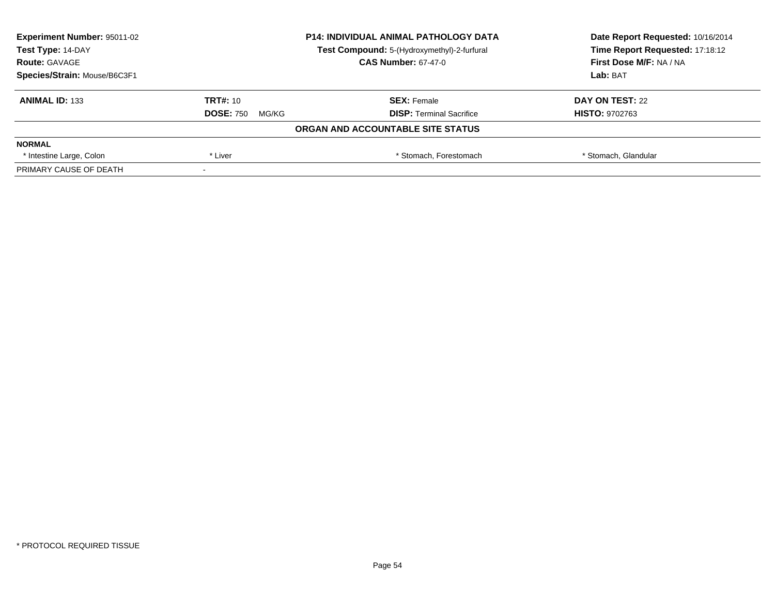| <b>Experiment Number: 95011-02</b> | <b>P14: INDIVIDUAL ANIMAL PATHOLOGY DATA</b><br>Test Compound: 5-(Hydroxymethyl)-2-furfural |                                   | Date Report Requested: 10/16/2014 |
|------------------------------------|---------------------------------------------------------------------------------------------|-----------------------------------|-----------------------------------|
| Test Type: 14-DAY                  |                                                                                             |                                   | Time Report Requested: 17:18:12   |
| <b>Route: GAVAGE</b>               |                                                                                             | <b>CAS Number: 67-47-0</b>        | <b>First Dose M/F: NA / NA</b>    |
| Species/Strain: Mouse/B6C3F1       |                                                                                             |                                   | Lab: BAT                          |
| <b>ANIMAL ID: 133</b>              | <b>TRT#: 10</b>                                                                             | <b>SEX: Female</b>                | DAY ON TEST: 22                   |
|                                    | <b>DOSE: 750</b><br>MG/KG                                                                   | <b>DISP:</b> Terminal Sacrifice   | <b>HISTO: 9702763</b>             |
|                                    |                                                                                             | ORGAN AND ACCOUNTABLE SITE STATUS |                                   |
| <b>NORMAL</b>                      |                                                                                             |                                   |                                   |
| * Intestine Large, Colon           | * Liver                                                                                     | * Stomach, Forestomach            | * Stomach, Glandular              |
| PRIMARY CAUSE OF DEATH             |                                                                                             |                                   |                                   |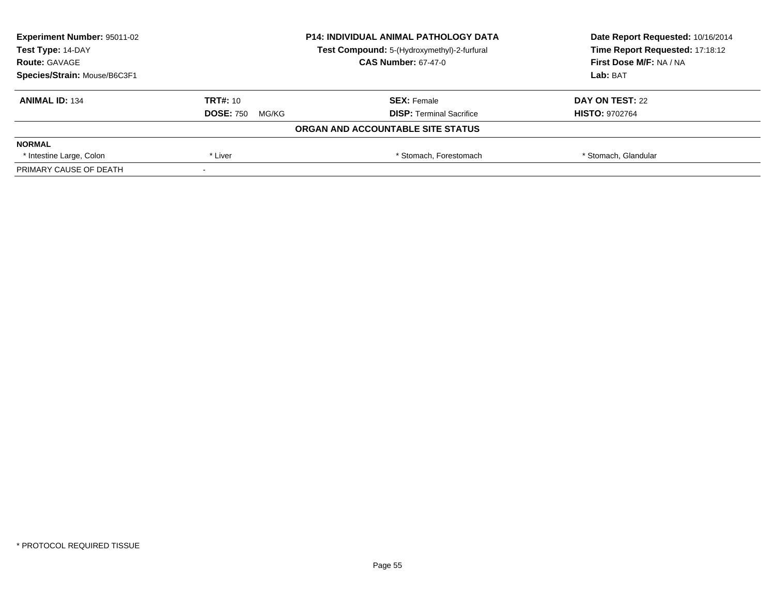| <b>Experiment Number: 95011-02</b> | <b>P14: INDIVIDUAL ANIMAL PATHOLOGY DATA</b><br>Test Compound: 5-(Hydroxymethyl)-2-furfural |                                   | Date Report Requested: 10/16/2014 |
|------------------------------------|---------------------------------------------------------------------------------------------|-----------------------------------|-----------------------------------|
| Test Type: 14-DAY                  |                                                                                             |                                   | Time Report Requested: 17:18:12   |
| <b>Route: GAVAGE</b>               |                                                                                             | <b>CAS Number: 67-47-0</b>        | <b>First Dose M/F: NA / NA</b>    |
| Species/Strain: Mouse/B6C3F1       |                                                                                             |                                   | Lab: BAT                          |
| <b>ANIMAL ID: 134</b>              | <b>TRT#: 10</b>                                                                             | <b>SEX: Female</b>                | DAY ON TEST: 22                   |
|                                    | <b>DOSE: 750</b><br>MG/KG                                                                   | <b>DISP:</b> Terminal Sacrifice   | <b>HISTO: 9702764</b>             |
|                                    |                                                                                             | ORGAN AND ACCOUNTABLE SITE STATUS |                                   |
| <b>NORMAL</b>                      |                                                                                             |                                   |                                   |
| * Intestine Large, Colon           | * Liver                                                                                     | * Stomach, Forestomach            | * Stomach, Glandular              |
| PRIMARY CAUSE OF DEATH             |                                                                                             |                                   |                                   |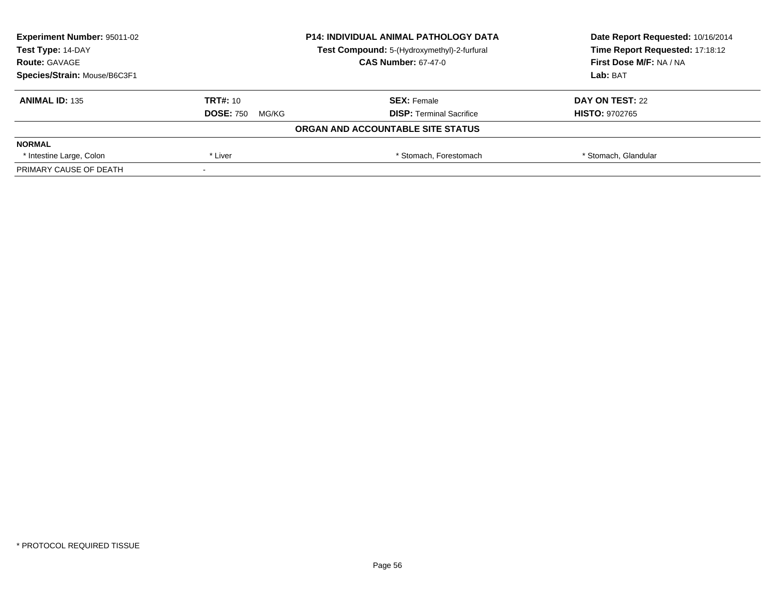| <b>Experiment Number: 95011-02</b> | <b>P14: INDIVIDUAL ANIMAL PATHOLOGY DATA</b><br>Test Compound: 5-(Hydroxymethyl)-2-furfural |                                   | Date Report Requested: 10/16/2014 |
|------------------------------------|---------------------------------------------------------------------------------------------|-----------------------------------|-----------------------------------|
| Test Type: 14-DAY                  |                                                                                             |                                   | Time Report Requested: 17:18:12   |
| <b>Route: GAVAGE</b>               |                                                                                             | <b>CAS Number: 67-47-0</b>        | <b>First Dose M/F: NA / NA</b>    |
| Species/Strain: Mouse/B6C3F1       |                                                                                             |                                   | Lab: BAT                          |
| <b>ANIMAL ID: 135</b>              | <b>TRT#: 10</b>                                                                             | <b>SEX: Female</b>                | DAY ON TEST: 22                   |
|                                    | <b>DOSE: 750</b><br>MG/KG                                                                   | <b>DISP:</b> Terminal Sacrifice   | <b>HISTO: 9702765</b>             |
|                                    |                                                                                             | ORGAN AND ACCOUNTABLE SITE STATUS |                                   |
| <b>NORMAL</b>                      |                                                                                             |                                   |                                   |
| * Intestine Large, Colon           | * Liver                                                                                     | * Stomach, Forestomach            | * Stomach, Glandular              |
| PRIMARY CAUSE OF DEATH             |                                                                                             |                                   |                                   |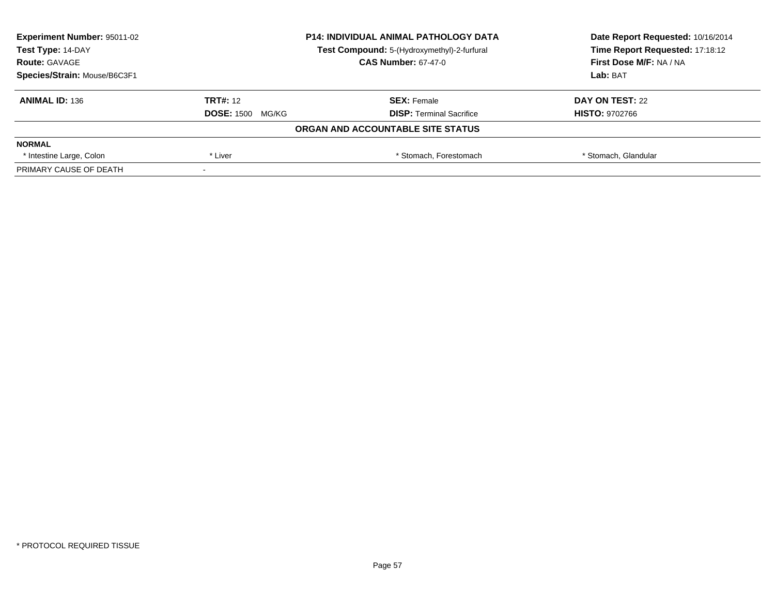| <b>Experiment Number: 95011-02</b> | <b>P14: INDIVIDUAL ANIMAL PATHOLOGY DATA</b> |                                             | Date Report Requested: 10/16/2014 |
|------------------------------------|----------------------------------------------|---------------------------------------------|-----------------------------------|
| Test Type: 14-DAY                  |                                              | Test Compound: 5-(Hydroxymethyl)-2-furfural | Time Report Requested: 17:18:12   |
| <b>Route: GAVAGE</b>               |                                              | <b>CAS Number: 67-47-0</b>                  | <b>First Dose M/F: NA / NA</b>    |
| Species/Strain: Mouse/B6C3F1       |                                              |                                             | Lab: BAT                          |
| <b>ANIMAL ID: 136</b>              | <b>TRT#: 12</b>                              | <b>SEX: Female</b>                          | DAY ON TEST: 22                   |
|                                    | <b>DOSE: 1500</b><br>MG/KG                   | <b>DISP:</b> Terminal Sacrifice             | <b>HISTO: 9702766</b>             |
|                                    |                                              | ORGAN AND ACCOUNTABLE SITE STATUS           |                                   |
| <b>NORMAL</b>                      |                                              |                                             |                                   |
| * Intestine Large, Colon           | * Liver                                      | * Stomach, Forestomach                      | * Stomach, Glandular              |
| PRIMARY CAUSE OF DEATH             |                                              |                                             |                                   |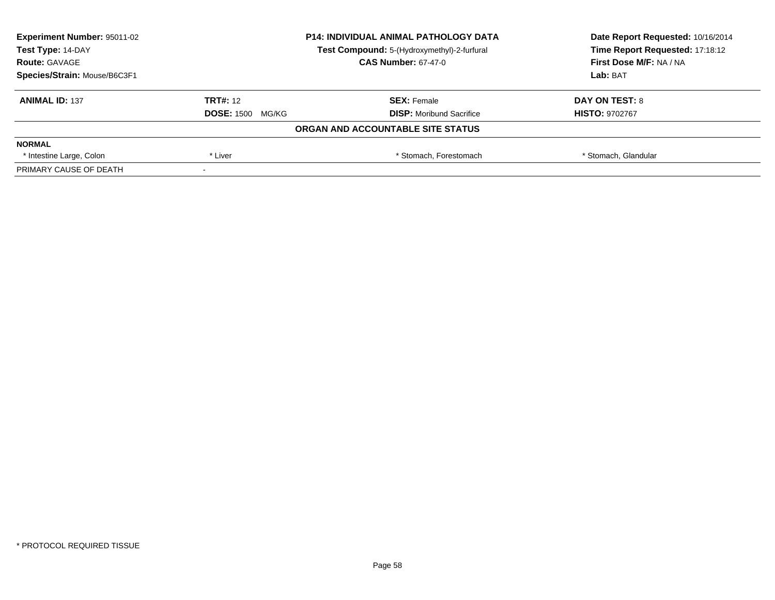| <b>Experiment Number: 95011-02</b> | <b>P14: INDIVIDUAL ANIMAL PATHOLOGY DATA</b><br>Test Compound: 5-(Hydroxymethyl)-2-furfural |                                   | Date Report Requested: 10/16/2014 |
|------------------------------------|---------------------------------------------------------------------------------------------|-----------------------------------|-----------------------------------|
| Test Type: 14-DAY                  |                                                                                             |                                   | Time Report Requested: 17:18:12   |
| <b>Route: GAVAGE</b>               |                                                                                             | <b>CAS Number: 67-47-0</b>        | <b>First Dose M/F: NA / NA</b>    |
| Species/Strain: Mouse/B6C3F1       |                                                                                             |                                   | Lab: BAT                          |
| <b>ANIMAL ID: 137</b>              | <b>TRT#: 12</b>                                                                             | <b>SEX: Female</b>                | DAY ON TEST: 8                    |
|                                    | <b>DOSE: 1500</b><br>MG/KG                                                                  | <b>DISP:</b> Moribund Sacrifice   | <b>HISTO: 9702767</b>             |
|                                    |                                                                                             | ORGAN AND ACCOUNTABLE SITE STATUS |                                   |
| <b>NORMAL</b>                      |                                                                                             |                                   |                                   |
| * Intestine Large, Colon           | * Liver                                                                                     | * Stomach, Forestomach            | * Stomach, Glandular              |
| PRIMARY CAUSE OF DEATH             |                                                                                             |                                   |                                   |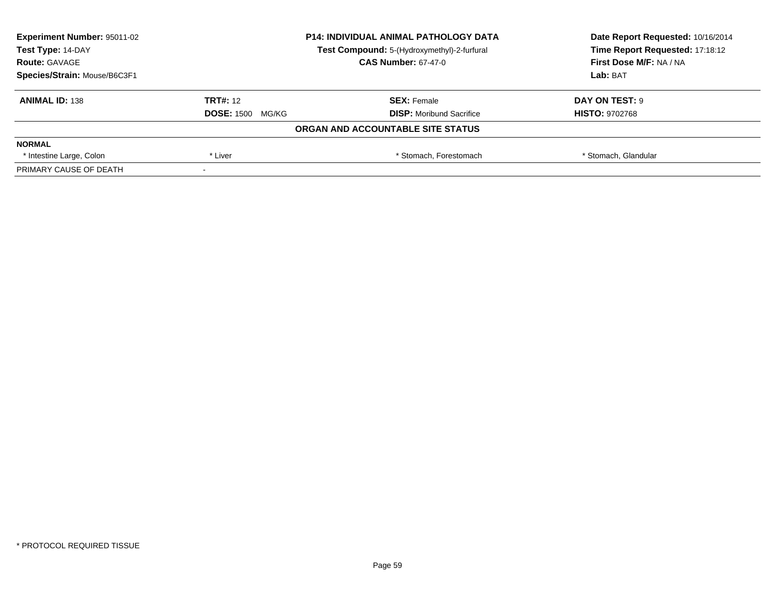| <b>Experiment Number: 95011-02</b> |                            | <b>P14: INDIVIDUAL ANIMAL PATHOLOGY DATA</b> | Date Report Requested: 10/16/2014 |
|------------------------------------|----------------------------|----------------------------------------------|-----------------------------------|
| Test Type: 14-DAY                  |                            | Test Compound: 5-(Hydroxymethyl)-2-furfural  | Time Report Requested: 17:18:12   |
| <b>Route: GAVAGE</b>               |                            | <b>CAS Number: 67-47-0</b>                   | <b>First Dose M/F: NA / NA</b>    |
| Species/Strain: Mouse/B6C3F1       |                            |                                              | Lab: BAT                          |
| <b>ANIMAL ID: 138</b>              | <b>TRT#: 12</b>            | <b>SEX: Female</b>                           | DAY ON TEST: 9                    |
|                                    | <b>DOSE: 1500</b><br>MG/KG | <b>DISP:</b> Moribund Sacrifice              | <b>HISTO: 9702768</b>             |
|                                    |                            | ORGAN AND ACCOUNTABLE SITE STATUS            |                                   |
| <b>NORMAL</b>                      |                            |                                              |                                   |
| * Intestine Large, Colon           | * Liver                    | * Stomach, Forestomach                       | * Stomach, Glandular              |
| PRIMARY CAUSE OF DEATH             |                            |                                              |                                   |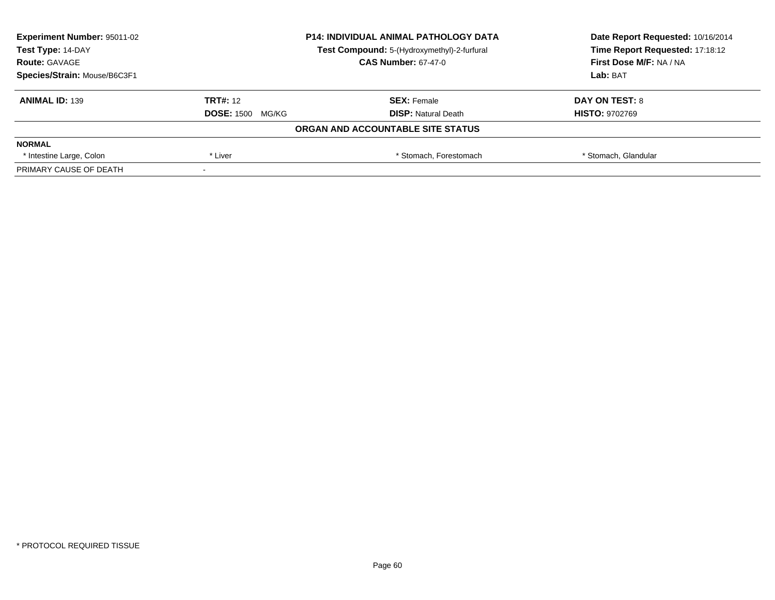| <b>Experiment Number: 95011-02</b>                               | <b>P14: INDIVIDUAL ANIMAL PATHOLOGY DATA</b> |                                   | Date Report Requested: 10/16/2014 |
|------------------------------------------------------------------|----------------------------------------------|-----------------------------------|-----------------------------------|
| Test Type: 14-DAY<br>Test Compound: 5-(Hydroxymethyl)-2-furfural |                                              | Time Report Requested: 17:18:12   |                                   |
| <b>Route: GAVAGE</b>                                             |                                              | <b>CAS Number: 67-47-0</b>        | First Dose M/F: NA / NA           |
| Species/Strain: Mouse/B6C3F1                                     |                                              |                                   | Lab: BAT                          |
| <b>ANIMAL ID: 139</b>                                            | <b>TRT#: 12</b>                              | <b>SEX: Female</b>                | DAY ON TEST: 8                    |
|                                                                  | <b>DOSE: 1500</b><br>MG/KG                   | <b>DISP:</b> Natural Death        | <b>HISTO: 9702769</b>             |
|                                                                  |                                              | ORGAN AND ACCOUNTABLE SITE STATUS |                                   |
| <b>NORMAL</b>                                                    |                                              |                                   |                                   |
| * Intestine Large, Colon                                         | * Liver                                      | * Stomach, Forestomach            | * Stomach, Glandular              |
| PRIMARY CAUSE OF DEATH                                           |                                              |                                   |                                   |